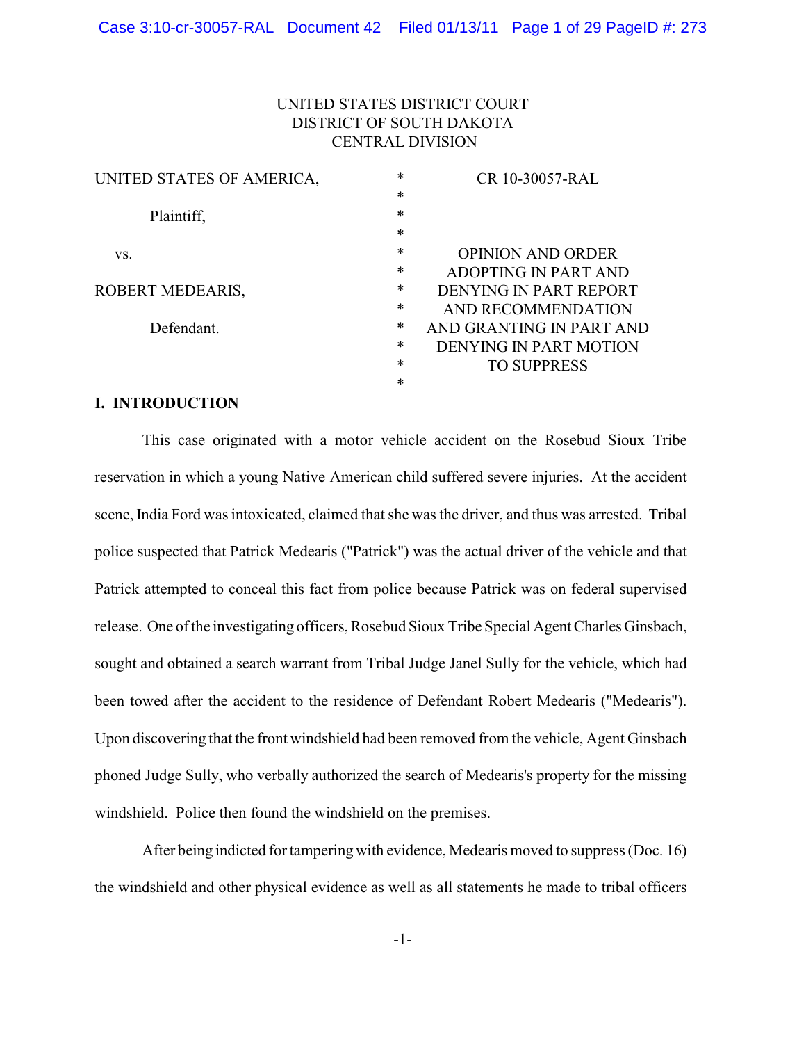# UNITED STATES DISTRICT COURT DISTRICT OF SOUTH DAKOTA CENTRAL DIVISION

| UNITED STATES OF AMERICA, | $\ast$ | CR 10-30057-RAL          |
|---------------------------|--------|--------------------------|
|                           | $\ast$ |                          |
| Plaintiff,                | $\ast$ |                          |
|                           | $\ast$ |                          |
| VS.                       | $\ast$ | <b>OPINION AND ORDER</b> |
|                           | $\ast$ | ADOPTING IN PART AND     |
| ROBERT MEDEARIS,          | $\ast$ | DENYING IN PART REPORT   |
|                           | $\ast$ | AND RECOMMENDATION       |
| Defendant.                | $\ast$ | AND GRANTING IN PART AND |
|                           | $\ast$ | DENYING IN PART MOTION   |
|                           | $\ast$ | <b>TO SUPPRESS</b>       |
|                           | $\ast$ |                          |
|                           |        |                          |

### **I. INTRODUCTION**

This case originated with a motor vehicle accident on the Rosebud Sioux Tribe reservation in which a young Native American child suffered severe injuries. At the accident scene, India Ford was intoxicated, claimed that she was the driver, and thus was arrested. Tribal police suspected that Patrick Medearis ("Patrick") was the actual driver of the vehicle and that Patrick attempted to conceal this fact from police because Patrick was on federal supervised release. One of the investigating officers, Rosebud Sioux Tribe Special Agent Charles Ginsbach, sought and obtained a search warrant from Tribal Judge Janel Sully for the vehicle, which had been towed after the accident to the residence of Defendant Robert Medearis ("Medearis"). Upon discovering that the front windshield had been removed from the vehicle, Agent Ginsbach phoned Judge Sully, who verbally authorized the search of Medearis's property for the missing windshield. Police then found the windshield on the premises.

After being indicted for tampering with evidence, Medearis moved to suppress (Doc. 16) the windshield and other physical evidence as well as all statements he made to tribal officers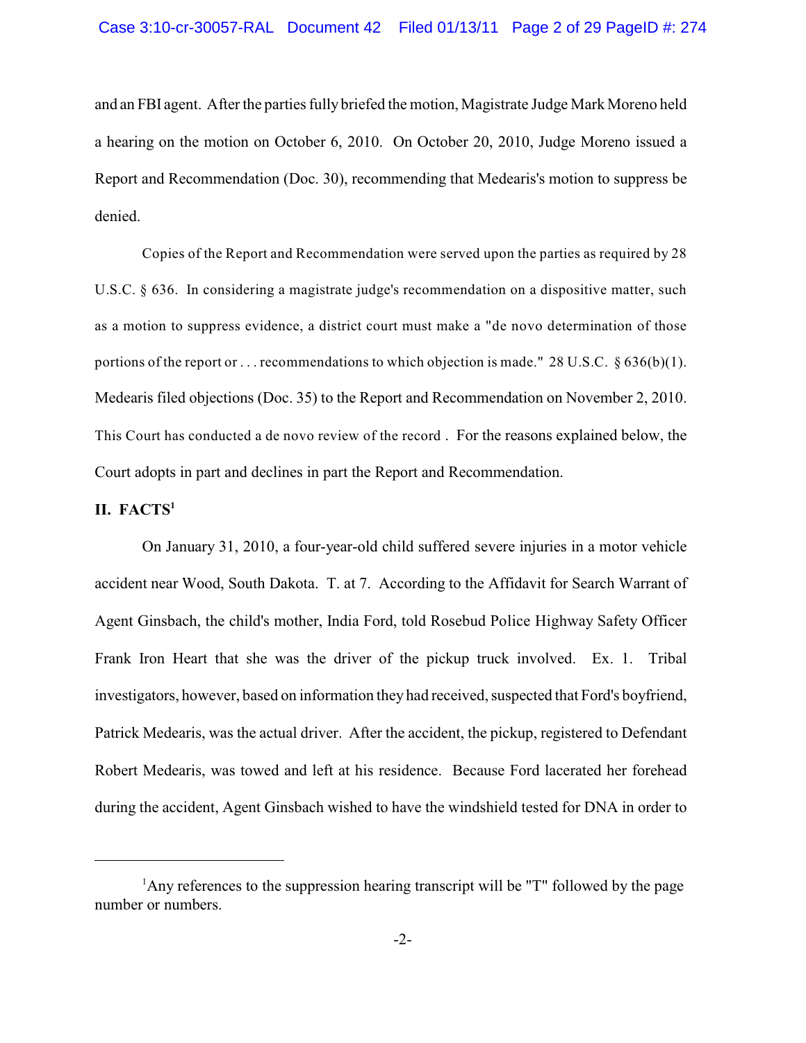and an FBI agent. After the parties fully briefed the motion, Magistrate Judge Mark Moreno held a hearing on the motion on October 6, 2010. On October 20, 2010, Judge Moreno issued a Report and Recommendation (Doc. 30), recommending that Medearis's motion to suppress be denied.

Copies of the Report and Recommendation were served upon the parties as required by 28 U.S.C. § 636. In considering a magistrate judge's recommendation on a dispositive matter, such as a motion to suppress evidence, a district court must make a "de novo determination of those portions of the report or . . . recommendations to which objection is made." 28 U.S.C. § 636(b)(1). Medearis filed objections (Doc. 35) to the Report and Recommendation on November 2, 2010. This Court has conducted a de novo review of the record . For the reasons explained below, the Court adopts in part and declines in part the Report and Recommendation.

# **II. FACTS<sup>1</sup>**

On January 31, 2010, a four-year-old child suffered severe injuries in a motor vehicle accident near Wood, South Dakota. T. at 7. According to the Affidavit for Search Warrant of Agent Ginsbach, the child's mother, India Ford, told Rosebud Police Highway Safety Officer Frank Iron Heart that she was the driver of the pickup truck involved. Ex. 1. Tribal investigators, however, based on information they had received, suspected that Ford's boyfriend, Patrick Medearis, was the actual driver. After the accident, the pickup, registered to Defendant Robert Medearis, was towed and left at his residence. Because Ford lacerated her forehead during the accident, Agent Ginsbach wished to have the windshield tested for DNA in order to

 $A_{\text{AV}}$  references to the suppression hearing transcript will be "T" followed by the page number or numbers.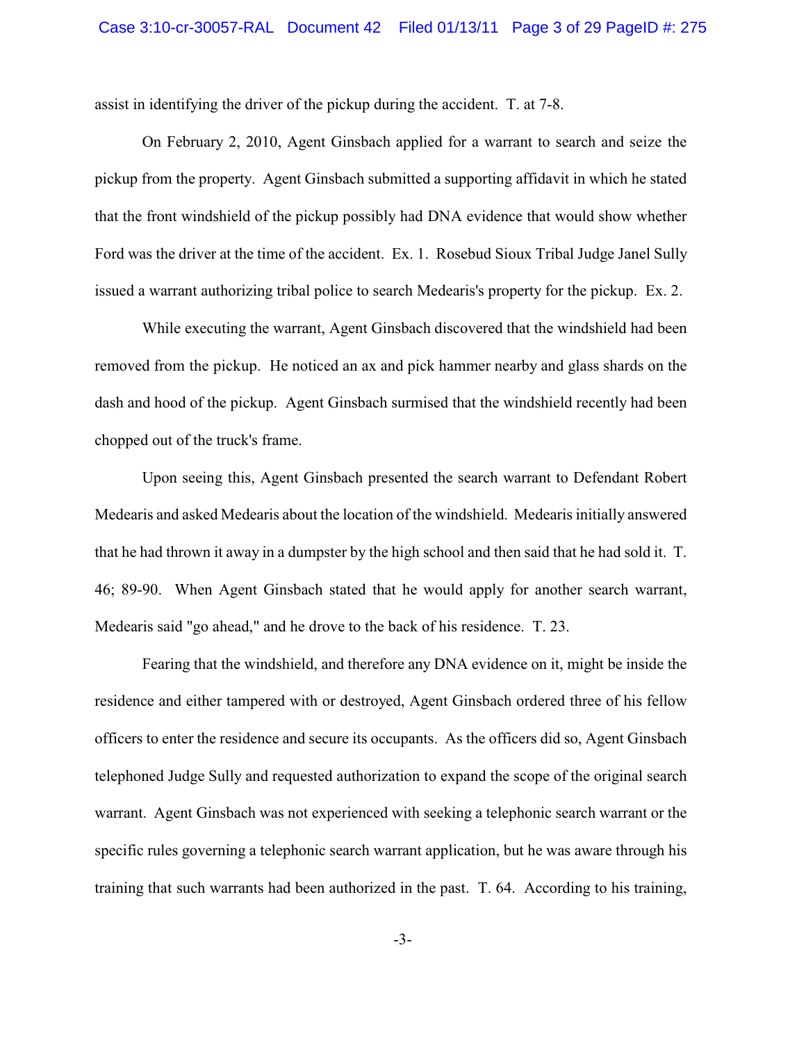assist in identifying the driver of the pickup during the accident. T. at 7-8.

On February 2, 2010, Agent Ginsbach applied for a warrant to search and seize the pickup from the property. Agent Ginsbach submitted a supporting affidavit in which he stated that the front windshield of the pickup possibly had DNA evidence that would show whether Ford was the driver at the time of the accident. Ex. 1. Rosebud Sioux Tribal Judge Janel Sully issued a warrant authorizing tribal police to search Medearis's property for the pickup. Ex. 2.

While executing the warrant, Agent Ginsbach discovered that the windshield had been removed from the pickup. He noticed an ax and pick hammer nearby and glass shards on the dash and hood of the pickup. Agent Ginsbach surmised that the windshield recently had been chopped out of the truck's frame.

Upon seeing this, Agent Ginsbach presented the search warrant to Defendant Robert Medearis and asked Medearis about the location of the windshield. Medearis initially answered that he had thrown it away in a dumpster by the high school and then said that he had sold it. T. 46; 89-90. When Agent Ginsbach stated that he would apply for another search warrant, Medearis said "go ahead," and he drove to the back of his residence. T. 23.

Fearing that the windshield, and therefore any DNA evidence on it, might be inside the residence and either tampered with or destroyed, Agent Ginsbach ordered three of his fellow officers to enter the residence and secure its occupants. As the officers did so, Agent Ginsbach telephoned Judge Sully and requested authorization to expand the scope of the original search warrant. Agent Ginsbach was not experienced with seeking a telephonic search warrant or the specific rules governing a telephonic search warrant application, but he was aware through his training that such warrants had been authorized in the past. T. 64. According to his training,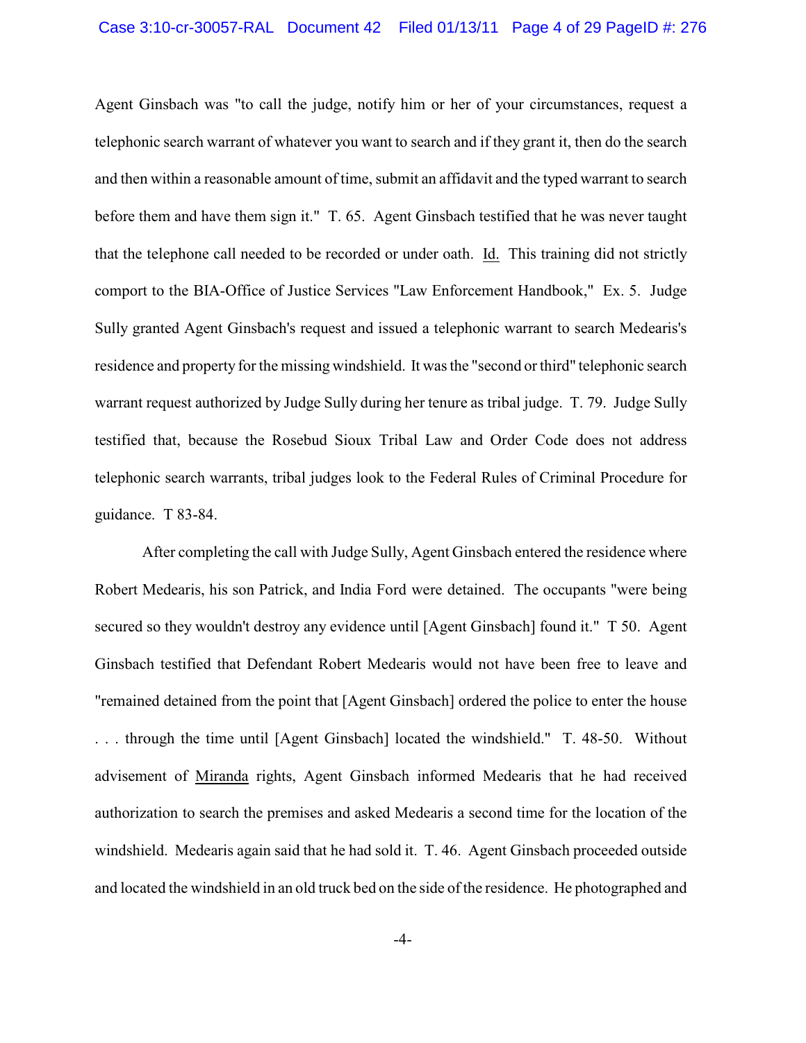Agent Ginsbach was "to call the judge, notify him or her of your circumstances, request a telephonic search warrant of whatever you want to search and if they grant it, then do the search and then within a reasonable amount of time, submit an affidavit and the typed warrant to search before them and have them sign it." T. 65. Agent Ginsbach testified that he was never taught that the telephone call needed to be recorded or under oath. Id. This training did not strictly comport to the BIA-Office of Justice Services "Law Enforcement Handbook," Ex. 5. Judge Sully granted Agent Ginsbach's request and issued a telephonic warrant to search Medearis's residence and property for the missing windshield. It was the "second or third" telephonic search warrant request authorized by Judge Sully during her tenure as tribal judge. T. 79. Judge Sully testified that, because the Rosebud Sioux Tribal Law and Order Code does not address telephonic search warrants, tribal judges look to the Federal Rules of Criminal Procedure for guidance. T 83-84.

After completing the call with Judge Sully, Agent Ginsbach entered the residence where Robert Medearis, his son Patrick, and India Ford were detained. The occupants "were being secured so they wouldn't destroy any evidence until [Agent Ginsbach] found it." T 50. Agent Ginsbach testified that Defendant Robert Medearis would not have been free to leave and "remained detained from the point that [Agent Ginsbach] ordered the police to enter the house . . . through the time until [Agent Ginsbach] located the windshield." T. 48-50. Without advisement of Miranda rights, Agent Ginsbach informed Medearis that he had received authorization to search the premises and asked Medearis a second time for the location of the windshield. Medearis again said that he had sold it. T. 46. Agent Ginsbach proceeded outside and located the windshield in an old truck bed on the side of the residence. He photographed and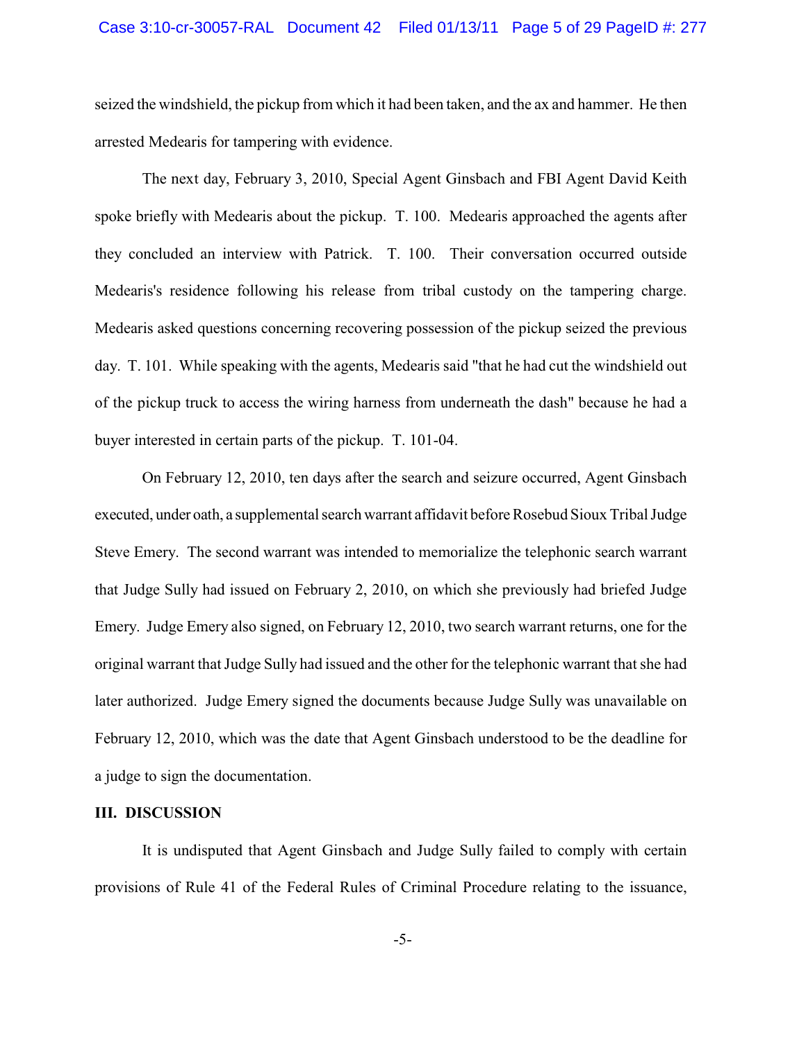seized the windshield, the pickup from which it had been taken, and the ax and hammer. He then arrested Medearis for tampering with evidence.

The next day, February 3, 2010, Special Agent Ginsbach and FBI Agent David Keith spoke briefly with Medearis about the pickup. T. 100. Medearis approached the agents after they concluded an interview with Patrick. T. 100. Their conversation occurred outside Medearis's residence following his release from tribal custody on the tampering charge. Medearis asked questions concerning recovering possession of the pickup seized the previous day. T. 101. While speaking with the agents, Medearis said "that he had cut the windshield out of the pickup truck to access the wiring harness from underneath the dash" because he had a buyer interested in certain parts of the pickup. T. 101-04.

On February 12, 2010, ten days after the search and seizure occurred, Agent Ginsbach executed, under oath, a supplemental search warrant affidavit before Rosebud Sioux Tribal Judge Steve Emery. The second warrant was intended to memorialize the telephonic search warrant that Judge Sully had issued on February 2, 2010, on which she previously had briefed Judge Emery. Judge Emery also signed, on February 12, 2010, two search warrant returns, one for the original warrant that Judge Sully had issued and the other for the telephonic warrant that she had later authorized. Judge Emery signed the documents because Judge Sully was unavailable on February 12, 2010, which was the date that Agent Ginsbach understood to be the deadline for a judge to sign the documentation.

### **III. DISCUSSION**

It is undisputed that Agent Ginsbach and Judge Sully failed to comply with certain provisions of Rule 41 of the Federal Rules of Criminal Procedure relating to the issuance,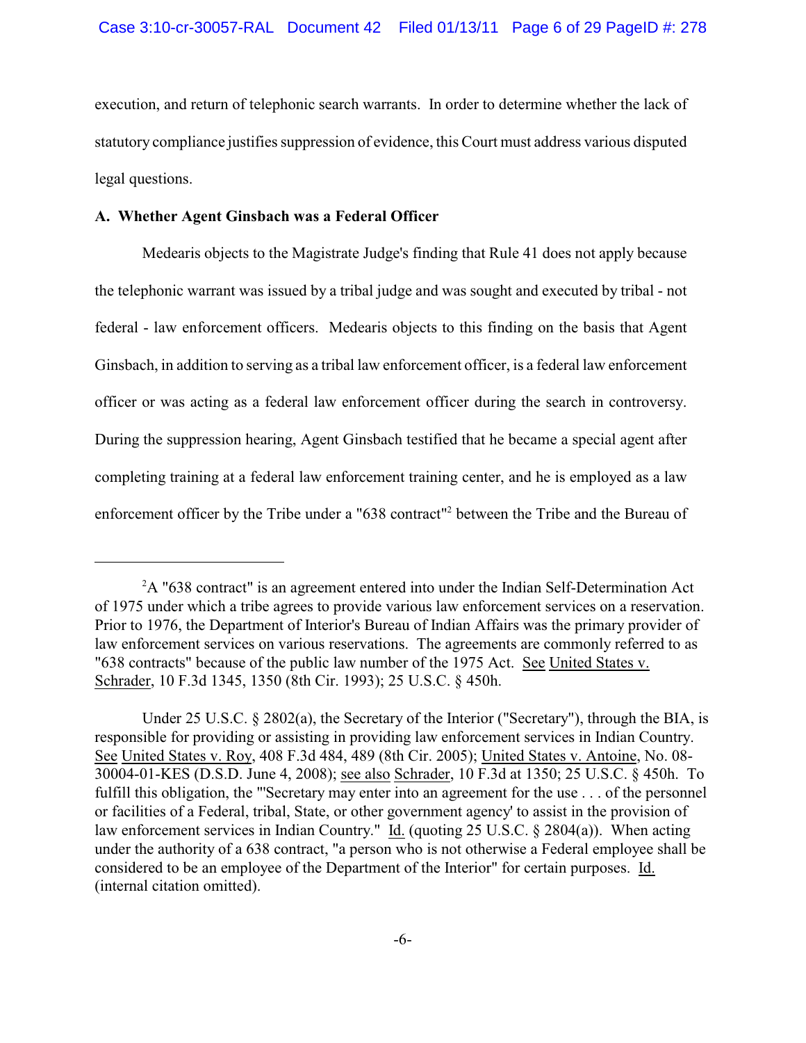execution, and return of telephonic search warrants. In order to determine whether the lack of statutory compliance justifies suppression of evidence, this Court must address various disputed legal questions.

# **A. Whether Agent Ginsbach was a Federal Officer**

Medearis objects to the Magistrate Judge's finding that Rule 41 does not apply because the telephonic warrant was issued by a tribal judge and was sought and executed by tribal - not federal - law enforcement officers. Medearis objects to this finding on the basis that Agent Ginsbach, in addition to serving as a tribal law enforcement officer, is a federal law enforcement officer or was acting as a federal law enforcement officer during the search in controversy. During the suppression hearing, Agent Ginsbach testified that he became a special agent after completing training at a federal law enforcement training center, and he is employed as a law enforcement officer by the Tribe under a "638 contract"<sup>2</sup> between the Tribe and the Bureau of

 $A$  "638 contract" is an agreement entered into under the Indian Self-Determination Act of 1975 under which a tribe agrees to provide various law enforcement services on a reservation. Prior to 1976, the Department of Interior's Bureau of Indian Affairs was the primary provider of law enforcement services on various reservations. The agreements are commonly referred to as "638 contracts" because of the public law number of the 1975 Act. See United States v. Schrader, 10 F.3d 1345, 1350 (8th Cir. 1993); 25 U.S.C. § 450h.

Under 25 U.S.C. § 2802(a), the Secretary of the Interior ("Secretary"), through the BIA, is responsible for providing or assisting in providing law enforcement services in Indian Country. See United States v. Roy, 408 F.3d 484, 489 (8th Cir. 2005); United States v. Antoine, No. 08- 30004-01-KES (D.S.D. June 4, 2008); see also Schrader, 10 F.3d at 1350; 25 U.S.C. § 450h. To fulfill this obligation, the "'Secretary may enter into an agreement for the use . . . of the personnel or facilities of a Federal, tribal, State, or other government agency' to assist in the provision of law enforcement services in Indian Country." Id. (quoting 25 U.S.C. § 2804(a)). When acting under the authority of a 638 contract, "a person who is not otherwise a Federal employee shall be considered to be an employee of the Department of the Interior" for certain purposes. Id. (internal citation omitted).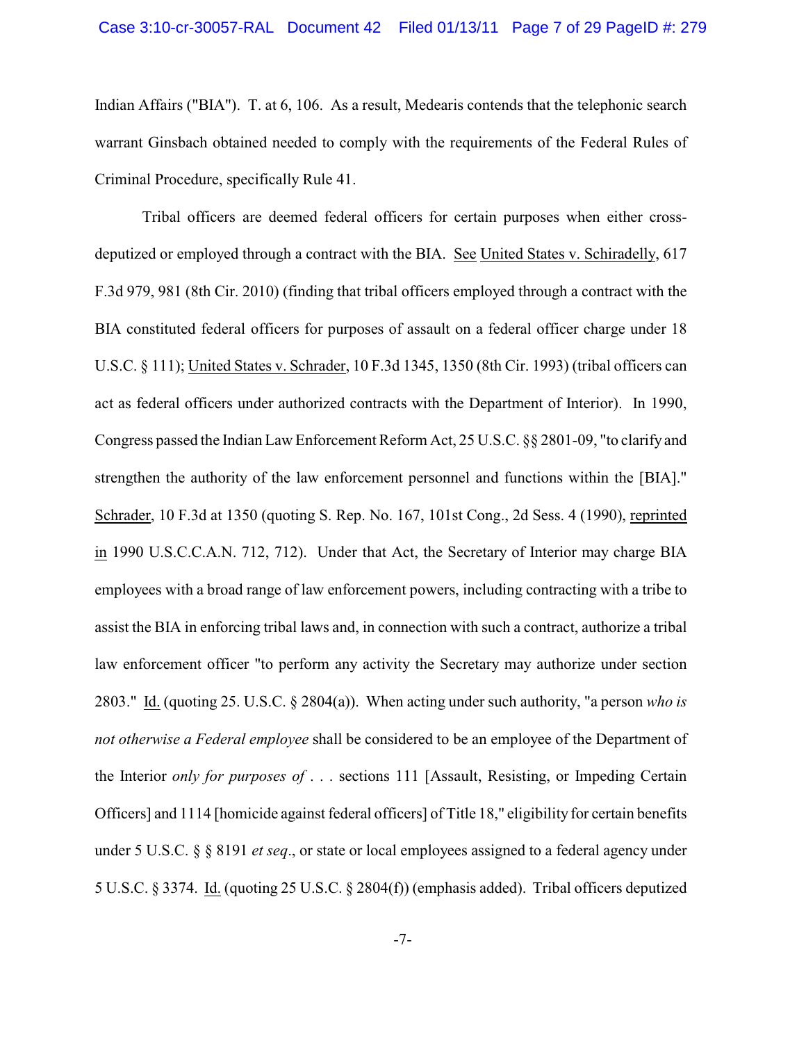Indian Affairs ("BIA"). T. at 6, 106.As a result, Medearis contends that the telephonic search warrant Ginsbach obtained needed to comply with the requirements of the Federal Rules of Criminal Procedure, specifically Rule 41.

Tribal officers are deemed federal officers for certain purposes when either crossdeputized or employed through a contract with the BIA. See United States v. Schiradelly, 617 F.3d 979, 981 (8th Cir. 2010) (finding that tribal officers employed through a contract with the BIA constituted federal officers for purposes of assault on a federal officer charge under 18 U.S.C. § 111); United States v. Schrader, 10 F.3d 1345, 1350 (8th Cir. 1993) (tribal officers can act as federal officers under authorized contracts with the Department of Interior). In 1990, Congress passed the Indian Law Enforcement Reform Act, 25 U.S.C. §§ 2801-09, "to clarify and strengthen the authority of the law enforcement personnel and functions within the [BIA]." Schrader, 10 F.3d at 1350 (quoting S. Rep. No. 167, 101st Cong., 2d Sess. 4 (1990), reprinted in 1990 U.S.C.C.A.N. 712, 712). Under that Act, the Secretary of Interior may charge BIA employees with a broad range of law enforcement powers, including contracting with a tribe to assist the BIA in enforcing tribal laws and, in connection with such a contract, authorize a tribal law enforcement officer "to perform any activity the Secretary may authorize under section 2803." Id. (quoting 25. U.S.C. § 2804(a)). When acting under such authority, "a person *who is not otherwise a Federal employee* shall be considered to be an employee of the Department of the Interior *only for purposes of* . . . sections 111 [Assault, Resisting, or Impeding Certain Officers] and 1114 [homicide against federal officers] of Title 18," eligibility for certain benefits under 5 U.S.C. § § 8191 *et seq*., or state or local employees assigned to a federal agency under 5 U.S.C. § 3374. Id. (quoting 25 U.S.C. § 2804(f)) (emphasis added). Tribal officers deputized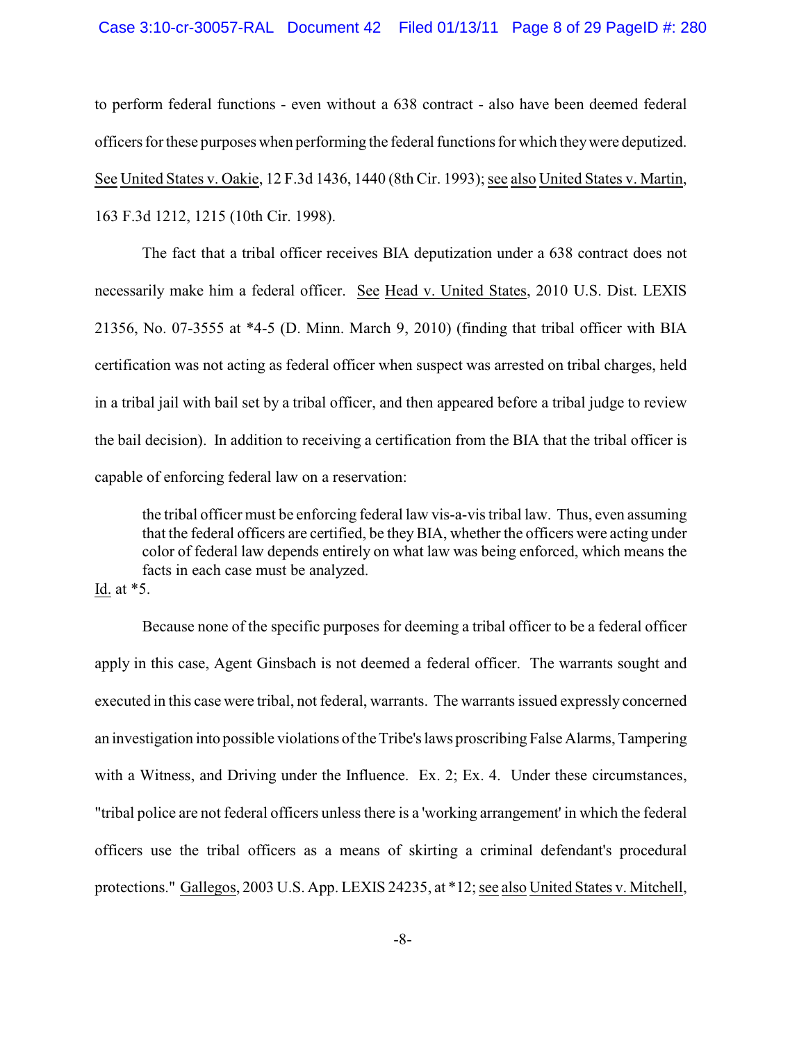# Case 3:10-cr-30057-RAL Document 42 Filed 01/13/11 Page 8 of 29 PageID #: 280

to perform federal functions - even without a 638 contract - also have been deemed federal officers for these purposes when performing the federal functions for which they were deputized. See United States v. Oakie, 12 F.3d 1436, 1440 (8th Cir. 1993); see also United States v. Martin, 163 F.3d 1212, 1215 (10th Cir. 1998).

The fact that a tribal officer receives BIA deputization under a 638 contract does not necessarily make him a federal officer. See Head v. United States, 2010 U.S. Dist. LEXIS 21356, No. 07-3555 at \*4-5 (D. Minn. March 9, 2010) (finding that tribal officer with BIA certification was not acting as federal officer when suspect was arrested on tribal charges, held in a tribal jail with bail set by a tribal officer, and then appeared before a tribal judge to review the bail decision). In addition to receiving a certification from the BIA that the tribal officer is capable of enforcing federal law on a reservation:

the tribal officer must be enforcing federal law vis-a-vis tribal law. Thus, even assuming that the federal officers are certified, be theyBIA, whether the officers were acting under color of federal law depends entirely on what law was being enforced, which means the facts in each case must be analyzed.

Id. at \*5.

Because none of the specific purposes for deeming a tribal officer to be a federal officer apply in this case, Agent Ginsbach is not deemed a federal officer. The warrants sought and executed in this case were tribal, not federal, warrants. The warrants issued expressly concerned an investigation into possible violations of the Tribe's laws proscribing False Alarms, Tampering with a Witness, and Driving under the Influence. Ex. 2; Ex. 4. Under these circumstances, "tribal police are not federal officers unless there is a 'working arrangement' in which the federal officers use the tribal officers as a means of skirting a criminal defendant's procedural protections." Gallegos, 2003 U.S. App. LEXIS 24235, at \*12; see also United States v. Mitchell,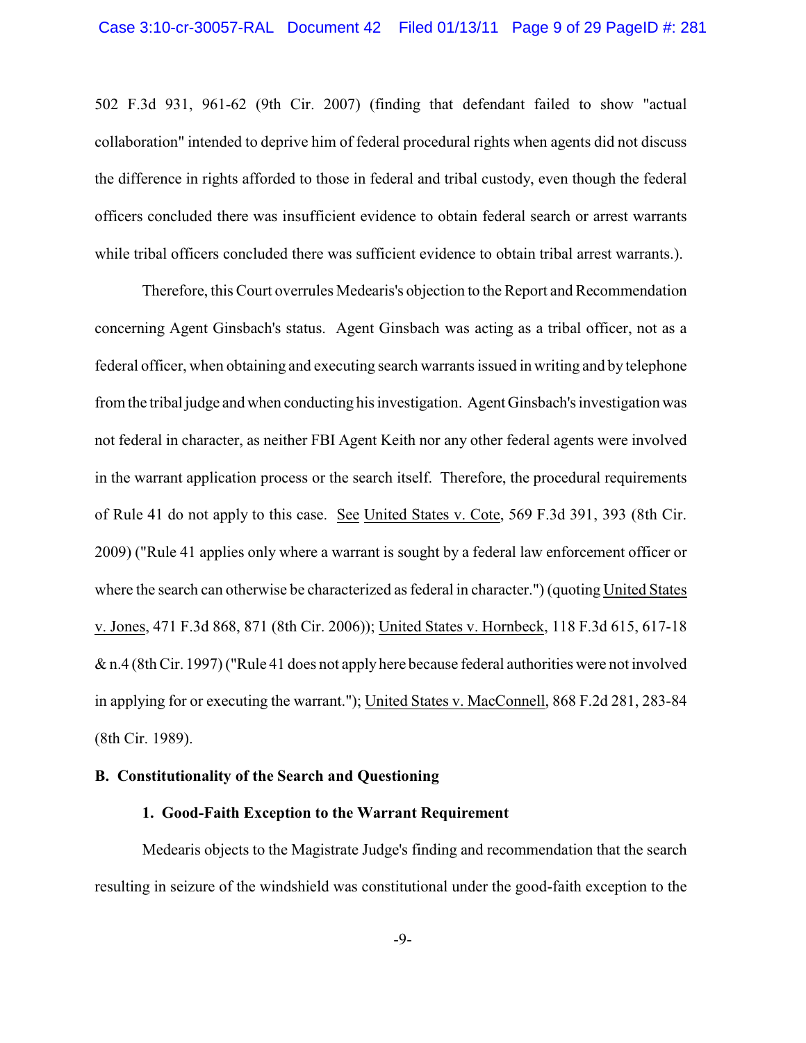502 F.3d 931, 961-62 (9th Cir. 2007) (finding that defendant failed to show "actual collaboration" intended to deprive him of federal procedural rights when agents did not discuss the difference in rights afforded to those in federal and tribal custody, even though the federal officers concluded there was insufficient evidence to obtain federal search or arrest warrants while tribal officers concluded there was sufficient evidence to obtain tribal arrest warrants.).

Therefore, this Court overrules Medearis's objection to the Report and Recommendation concerning Agent Ginsbach's status. Agent Ginsbach was acting as a tribal officer, not as a federal officer, when obtaining and executing search warrants issued in writing and by telephone from the tribal judge and when conducting his investigation. Agent Ginsbach's investigation was not federal in character, as neither FBI Agent Keith nor any other federal agents were involved in the warrant application process or the search itself. Therefore, the procedural requirements of Rule 41 do not apply to this case. See United States v. Cote, 569 F.3d 391, 393 (8th Cir. 2009) ("Rule 41 applies only where a warrant is sought by a federal law enforcement officer or where the search can otherwise be characterized as federal in character.") (quoting United States v. Jones, 471 F.3d 868, 871 (8th Cir. 2006)); United States v. Hornbeck, 118 F.3d 615, 617-18 & n.4 (8th Cir. 1997) ("Rule 41 does not apply here because federal authorities were not involved in applying for or executing the warrant."); United States v. MacConnell, 868 F.2d 281, 283-84 (8th Cir. 1989).

# **B. Constitutionality of the Search and Questioning**

## **1. Good-Faith Exception to the Warrant Requirement**

Medearis objects to the Magistrate Judge's finding and recommendation that the search resulting in seizure of the windshield was constitutional under the good-faith exception to the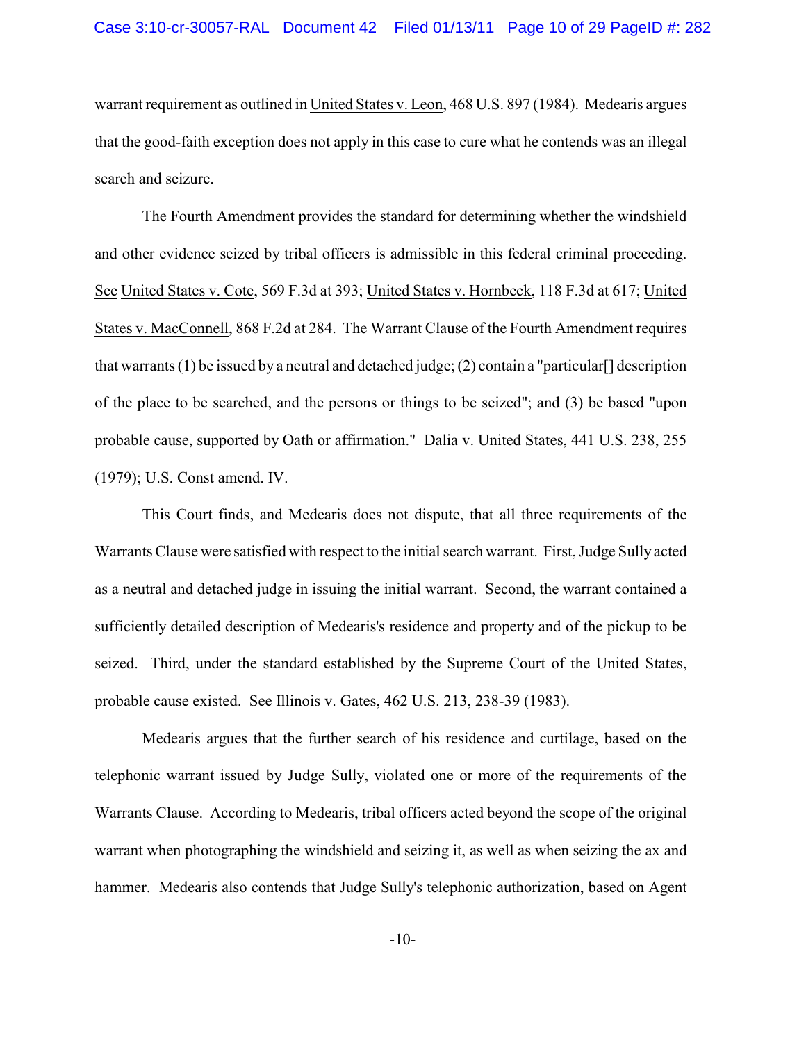warrant requirement as outlined in United States v. Leon, 468 U.S. 897 (1984). Medearis argues that the good-faith exception does not apply in this case to cure what he contends was an illegal search and seizure.

The Fourth Amendment provides the standard for determining whether the windshield and other evidence seized by tribal officers is admissible in this federal criminal proceeding. See United States v. Cote, 569 F.3d at 393; United States v. Hornbeck, 118 F.3d at 617; United States v. MacConnell, 868 F.2d at 284. The Warrant Clause of the Fourth Amendment requires that warrants (1) be issued by a neutral and detached judge; (2) contain a "particular [] description of the place to be searched, and the persons or things to be seized"; and (3) be based "upon probable cause, supported by Oath or affirmation." Dalia v. United States, 441 U.S. 238, 255 (1979); U.S. Const amend. IV.

This Court finds, and Medearis does not dispute, that all three requirements of the Warrants Clause were satisfied with respect to the initial search warrant. First, Judge Sully acted as a neutral and detached judge in issuing the initial warrant. Second, the warrant contained a sufficiently detailed description of Medearis's residence and property and of the pickup to be seized. Third, under the standard established by the Supreme Court of the United States, probable cause existed. See Illinois v. Gates, 462 U.S. 213, 238-39 (1983).

Medearis argues that the further search of his residence and curtilage, based on the telephonic warrant issued by Judge Sully, violated one or more of the requirements of the Warrants Clause. According to Medearis, tribal officers acted beyond the scope of the original warrant when photographing the windshield and seizing it, as well as when seizing the ax and hammer. Medearis also contends that Judge Sully's telephonic authorization, based on Agent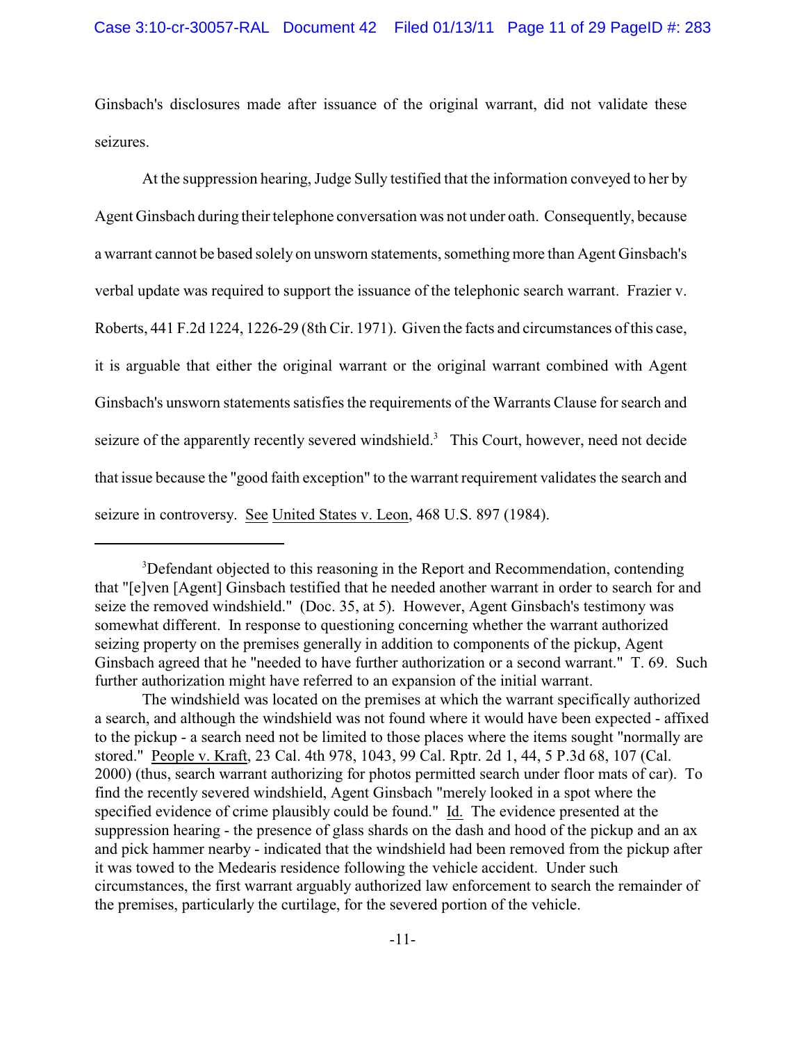Ginsbach's disclosures made after issuance of the original warrant, did not validate these seizures.

At the suppression hearing, Judge Sully testified that the information conveyed to her by Agent Ginsbach during their telephone conversation was not under oath. Consequently, because a warrant cannot be based solely on unsworn statements, something more than Agent Ginsbach's verbal update was required to support the issuance of the telephonic search warrant. Frazier v. Roberts, 441 F.2d 1224, 1226-29 (8th Cir. 1971). Given the facts and circumstances of this case, it is arguable that either the original warrant or the original warrant combined with Agent Ginsbach's unsworn statements satisfies the requirements of the Warrants Clause for search and seizure of the apparently recently severed windshield.<sup>3</sup> This Court, however, need not decide that issue because the "good faith exception" to the warrant requirement validates the search and seizure in controversy. See United States v. Leon, 468 U.S. 897 (1984).

 $3$ Defendant objected to this reasoning in the Report and Recommendation, contending that "[e]ven [Agent] Ginsbach testified that he needed another warrant in order to search for and seize the removed windshield." (Doc. 35, at 5). However, Agent Ginsbach's testimony was somewhat different. In response to questioning concerning whether the warrant authorized seizing property on the premises generally in addition to components of the pickup, Agent Ginsbach agreed that he "needed to have further authorization or a second warrant." T. 69. Such further authorization might have referred to an expansion of the initial warrant.

The windshield was located on the premises at which the warrant specifically authorized a search, and although the windshield was not found where it would have been expected - affixed to the pickup - a search need not be limited to those places where the items sought "normally are stored." People v. Kraft, 23 Cal. 4th 978, 1043, 99 Cal. Rptr. 2d 1, 44, 5 P.3d 68, 107 (Cal. 2000) (thus, search warrant authorizing for photos permitted search under floor mats of car). To find the recently severed windshield, Agent Ginsbach "merely looked in a spot where the specified evidence of crime plausibly could be found." Id. The evidence presented at the suppression hearing - the presence of glass shards on the dash and hood of the pickup and an ax and pick hammer nearby - indicated that the windshield had been removed from the pickup after it was towed to the Medearis residence following the vehicle accident. Under such circumstances, the first warrant arguably authorized law enforcement to search the remainder of the premises, particularly the curtilage, for the severed portion of the vehicle.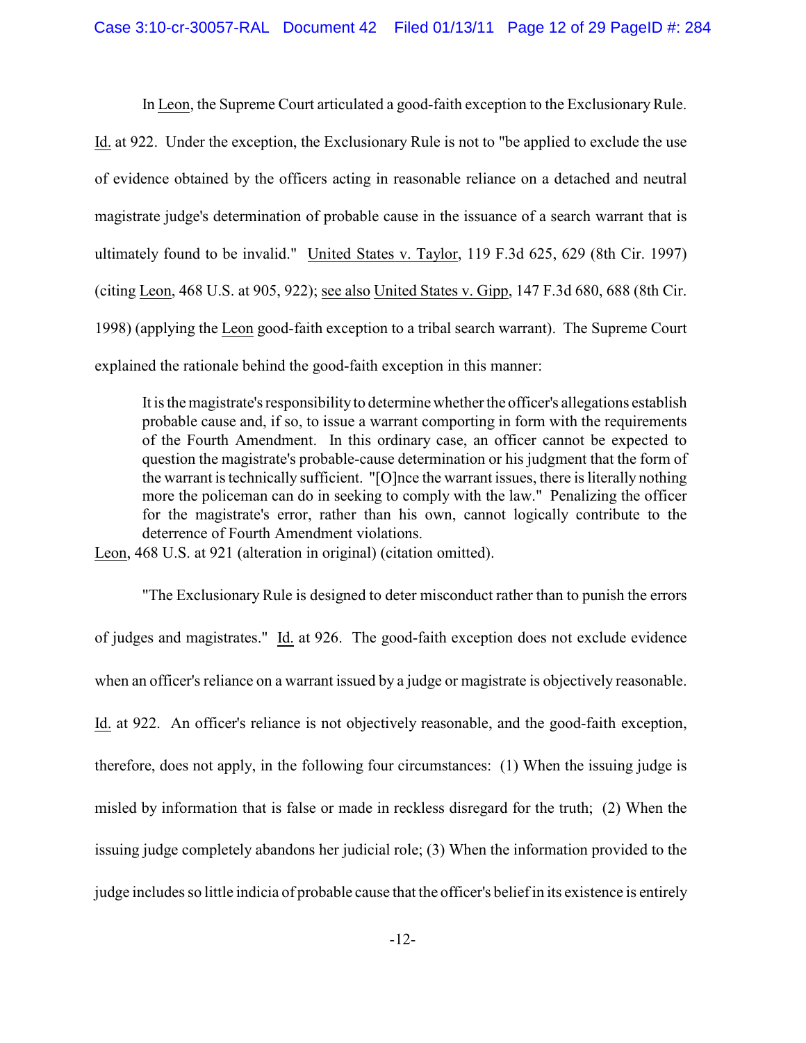In Leon, the Supreme Court articulated a good-faith exception to the Exclusionary Rule. Id. at 922. Under the exception, the Exclusionary Rule is not to "be applied to exclude the use of evidence obtained by the officers acting in reasonable reliance on a detached and neutral magistrate judge's determination of probable cause in the issuance of a search warrant that is ultimately found to be invalid." United States v. Taylor, 119 F.3d 625, 629 (8th Cir. 1997) (citing Leon, 468 U.S. at 905, 922); see also United States v. Gipp, 147 F.3d 680, 688 (8th Cir. 1998) (applying the Leon good-faith exception to a tribal search warrant). The Supreme Court

explained the rationale behind the good-faith exception in this manner:

It is themagistrate's responsibility to determine whether the officer's allegations establish probable cause and, if so, to issue a warrant comporting in form with the requirements of the Fourth Amendment. In this ordinary case, an officer cannot be expected to question the magistrate's probable-cause determination or his judgment that the form of the warrant is technically sufficient. "[O]nce the warrant issues, there is literally nothing more the policeman can do in seeking to comply with the law." Penalizing the officer for the magistrate's error, rather than his own, cannot logically contribute to the deterrence of Fourth Amendment violations.

Leon, 468 U.S. at 921 (alteration in original) (citation omitted).

"The Exclusionary Rule is designed to deter misconduct rather than to punish the errors of judges and magistrates." Id. at 926. The good-faith exception does not exclude evidence when an officer's reliance on a warrant issued by a judge or magistrate is objectively reasonable. Id. at 922. An officer's reliance is not objectively reasonable, and the good-faith exception, therefore, does not apply, in the following four circumstances: (1) When the issuing judge is misled by information that is false or made in reckless disregard for the truth; (2) When the issuing judge completely abandons her judicial role; (3) When the information provided to the judge includes so little indicia of probable cause that the officer's belief in its existence is entirely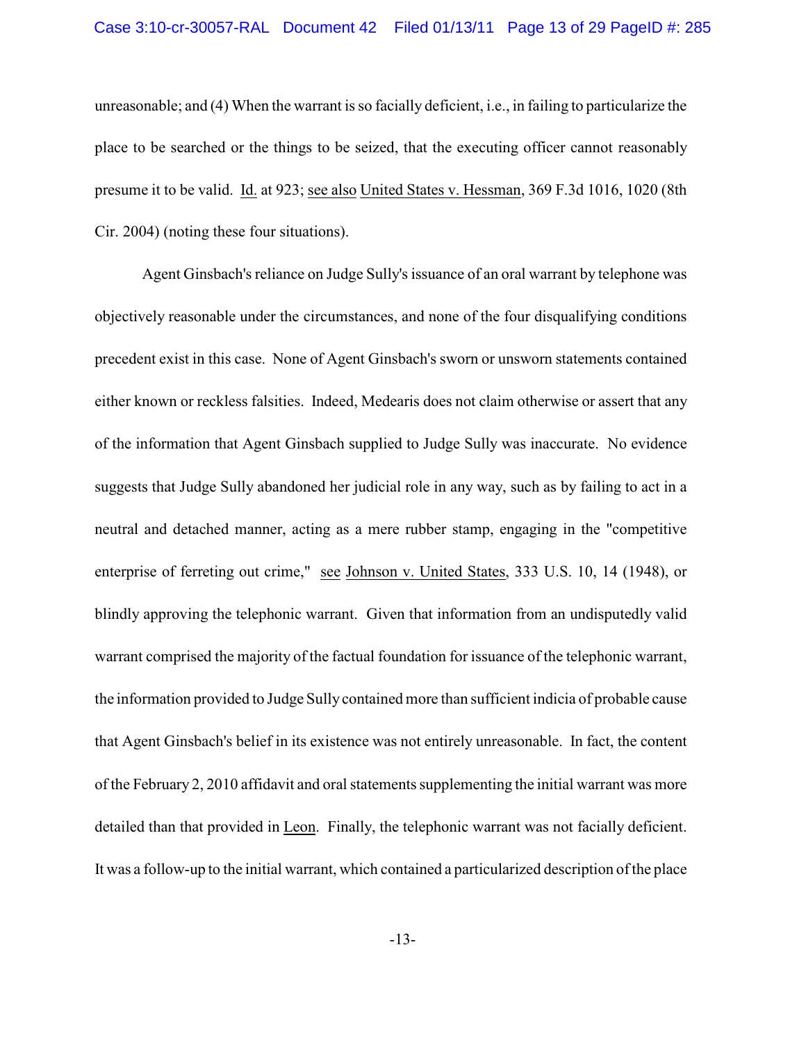### Case 3:10-cr-30057-RAL Document 42 Filed 01/13/11 Page 13 of 29 PageID #: 285

unreasonable; and (4) When the warrant is so facially deficient, i.e., in failing to particularize the place to be searched or the things to be seized, that the executing officer cannot reasonably presume it to be valid. Id. at 923; see also United States v. Hessman, 369 F.3d 1016, 1020 (8th Cir. 2004) (noting these four situations).

Agent Ginsbach's reliance on Judge Sully's issuance of an oral warrant by telephone was objectively reasonable under the circumstances, and none of the four disqualifying conditions precedent exist in this case. None of Agent Ginsbach's sworn or unsworn statements contained either known or reckless falsities. Indeed, Medearis does not claim otherwise or assert that any of the information that Agent Ginsbach supplied to Judge Sully was inaccurate. No evidence suggests that Judge Sully abandoned her judicial role in any way, such as by failing to act in a neutral and detached manner, acting as a mere rubber stamp, engaging in the "competitive enterprise of ferreting out crime," see Johnson v. United States, 333 U.S. 10, 14 (1948), or blindly approving the telephonic warrant. Given that information from an undisputedly valid warrant comprised the majority of the factual foundation for issuance of the telephonic warrant, the information provided to Judge Sully contained more than sufficient indicia of probable cause that Agent Ginsbach's belief in its existence was not entirely unreasonable. In fact, the content of the February 2, 2010 affidavit and oral statements supplementing the initial warrant was more detailed than that provided in Leon. Finally, the telephonic warrant was not facially deficient. It was a follow-up to the initial warrant, which contained a particularized description of the place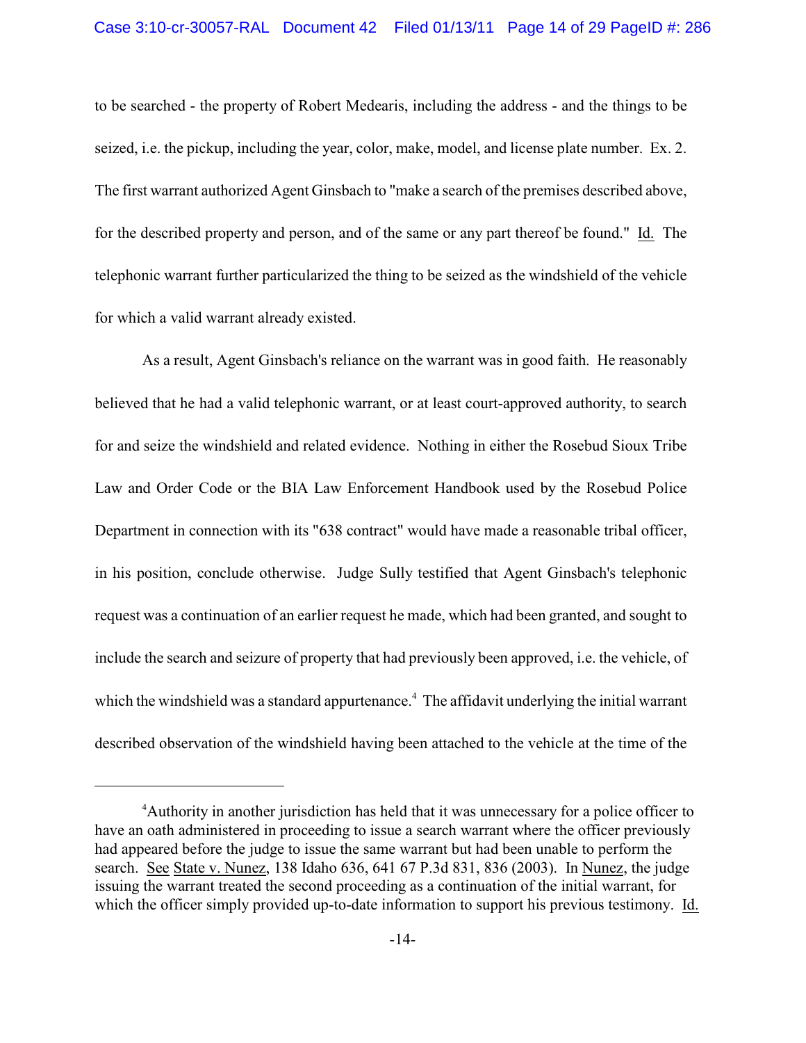to be searched - the property of Robert Medearis, including the address - and the things to be seized, i.e. the pickup, including the year, color, make, model, and license plate number. Ex. 2. The first warrant authorized Agent Ginsbach to "make a search of the premises described above, for the described property and person, and of the same or any part thereof be found." Id. The telephonic warrant further particularized the thing to be seized as the windshield of the vehicle for which a valid warrant already existed.

As a result, Agent Ginsbach's reliance on the warrant was in good faith. He reasonably believed that he had a valid telephonic warrant, or at least court-approved authority, to search for and seize the windshield and related evidence. Nothing in either the Rosebud Sioux Tribe Law and Order Code or the BIA Law Enforcement Handbook used by the Rosebud Police Department in connection with its "638 contract" would have made a reasonable tribal officer, in his position, conclude otherwise. Judge Sully testified that Agent Ginsbach's telephonic request was a continuation of an earlier request he made, which had been granted, and sought to include the search and seizure of property that had previously been approved, i.e. the vehicle, of which the windshield was a standard appurtenance.<sup>4</sup> The affidavit underlying the initial warrant described observation of the windshield having been attached to the vehicle at the time of the

<sup>&</sup>lt;sup>4</sup> Authority in another jurisdiction has held that it was unnecessary for a police officer to have an oath administered in proceeding to issue a search warrant where the officer previously had appeared before the judge to issue the same warrant but had been unable to perform the search. See State v. Nunez, 138 Idaho 636, 641 67 P.3d 831, 836 (2003). In Nunez, the judge issuing the warrant treated the second proceeding as a continuation of the initial warrant, for which the officer simply provided up-to-date information to support his previous testimony. Id.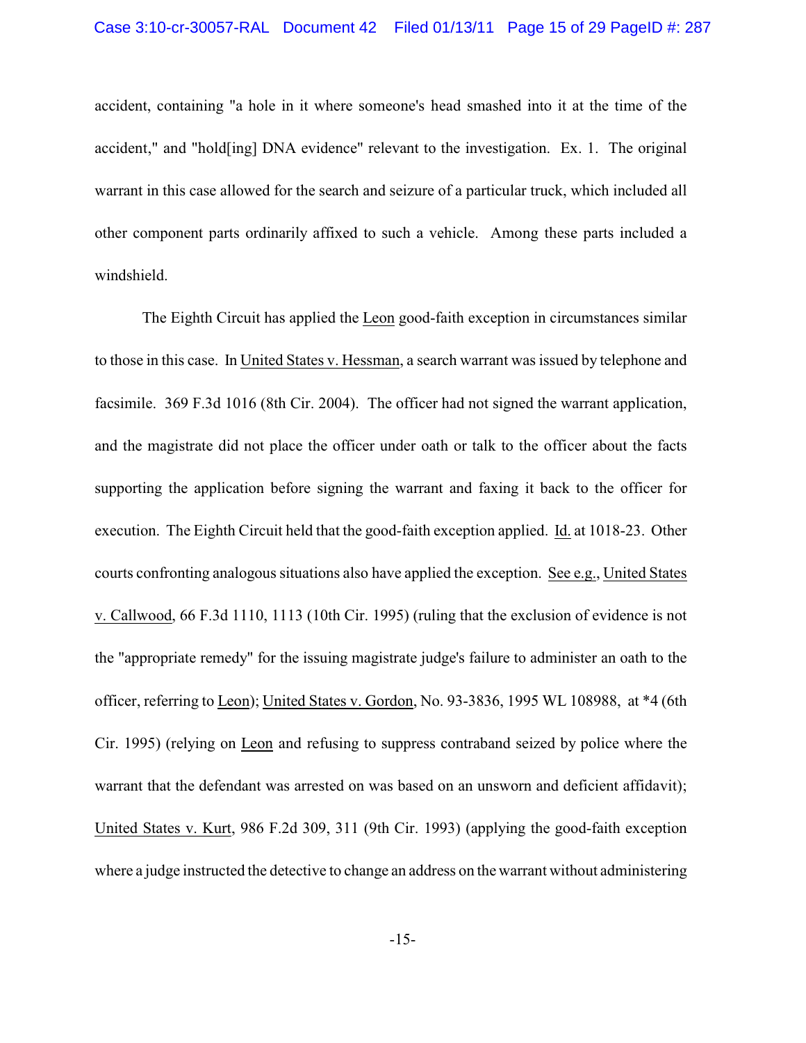accident, containing "a hole in it where someone's head smashed into it at the time of the accident," and "hold[ing] DNA evidence" relevant to the investigation. Ex. 1. The original warrant in this case allowed for the search and seizure of a particular truck, which included all other component parts ordinarily affixed to such a vehicle. Among these parts included a windshield.

The Eighth Circuit has applied the Leon good-faith exception in circumstances similar to those in this case. In United States v. Hessman, a search warrant was issued by telephone and facsimile. 369 F.3d 1016 (8th Cir. 2004). The officer had not signed the warrant application, and the magistrate did not place the officer under oath or talk to the officer about the facts supporting the application before signing the warrant and faxing it back to the officer for execution. The Eighth Circuit held that the good-faith exception applied. Id. at 1018-23. Other courts confronting analogous situations also have applied the exception. See e.g., United States v. Callwood, 66 F.3d 1110, 1113 (10th Cir. 1995) (ruling that the exclusion of evidence is not the "appropriate remedy" for the issuing magistrate judge's failure to administer an oath to the officer, referring to Leon); United States v. Gordon, No. 93-3836, 1995 WL 108988, at \*4 (6th Cir. 1995) (relying on Leon and refusing to suppress contraband seized by police where the warrant that the defendant was arrested on was based on an unsworn and deficient affidavit); United States v. Kurt, 986 F.2d 309, 311 (9th Cir. 1993) (applying the good-faith exception where a judge instructed the detective to change an address on the warrant without administering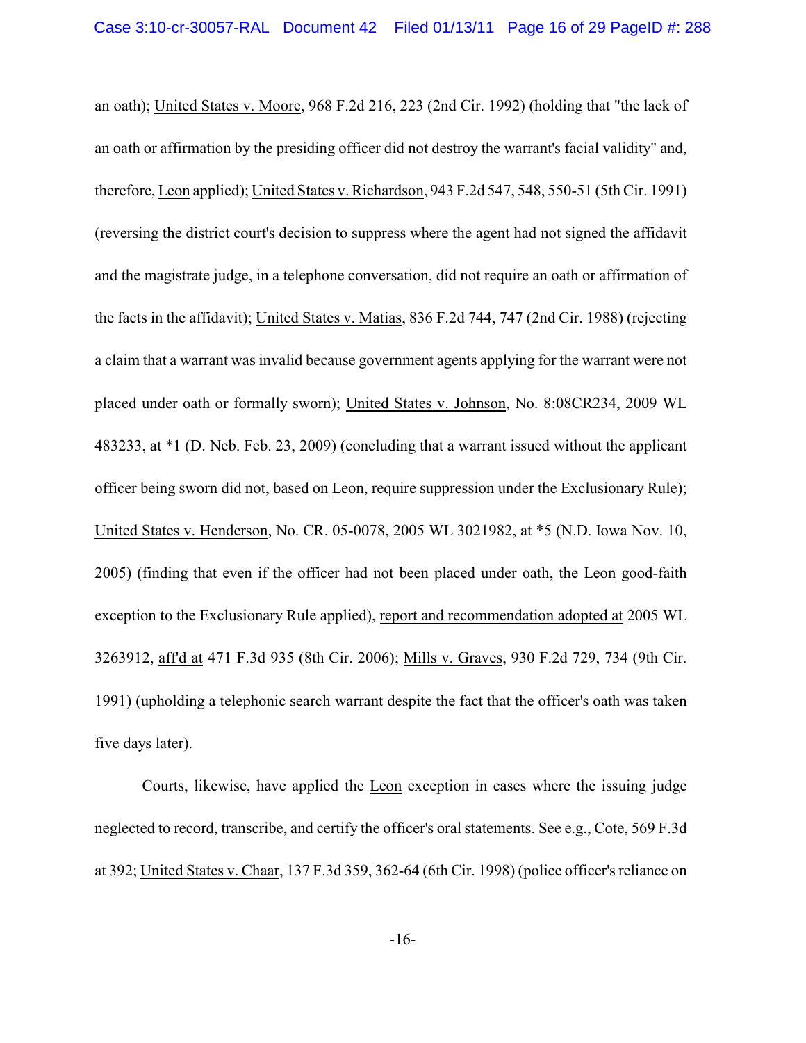an oath); United States v. Moore, 968 F.2d 216, 223 (2nd Cir. 1992) (holding that "the lack of an oath or affirmation by the presiding officer did not destroy the warrant's facial validity" and, therefore, Leon applied); United States v. Richardson, 943 F.2d 547, 548, 550-51 (5th Cir. 1991) (reversing the district court's decision to suppress where the agent had not signed the affidavit and the magistrate judge, in a telephone conversation, did not require an oath or affirmation of the facts in the affidavit); United States v. Matias, 836 F.2d 744, 747 (2nd Cir. 1988) (rejecting a claim that a warrant was invalid because government agents applying for the warrant were not placed under oath or formally sworn); United States v. Johnson, No. 8:08CR234, 2009 WL 483233, at \*1 (D. Neb. Feb. 23, 2009) (concluding that a warrant issued without the applicant officer being sworn did not, based on Leon, require suppression under the Exclusionary Rule); United States v. Henderson, No. CR. 05-0078, 2005 WL 3021982, at \*5 (N.D. Iowa Nov. 10, 2005) (finding that even if the officer had not been placed under oath, the Leon good-faith exception to the Exclusionary Rule applied), report and recommendation adopted at 2005 WL 3263912, aff'd at 471 F.3d 935 (8th Cir. 2006); Mills v. Graves, 930 F.2d 729, 734 (9th Cir. 1991) (upholding a telephonic search warrant despite the fact that the officer's oath was taken five days later).

Courts, likewise, have applied the Leon exception in cases where the issuing judge neglected to record, transcribe, and certify the officer's oral statements. See e.g., Cote, 569 F.3d at 392; United States v. Chaar, 137 F.3d 359, 362-64 (6th Cir. 1998) (police officer's reliance on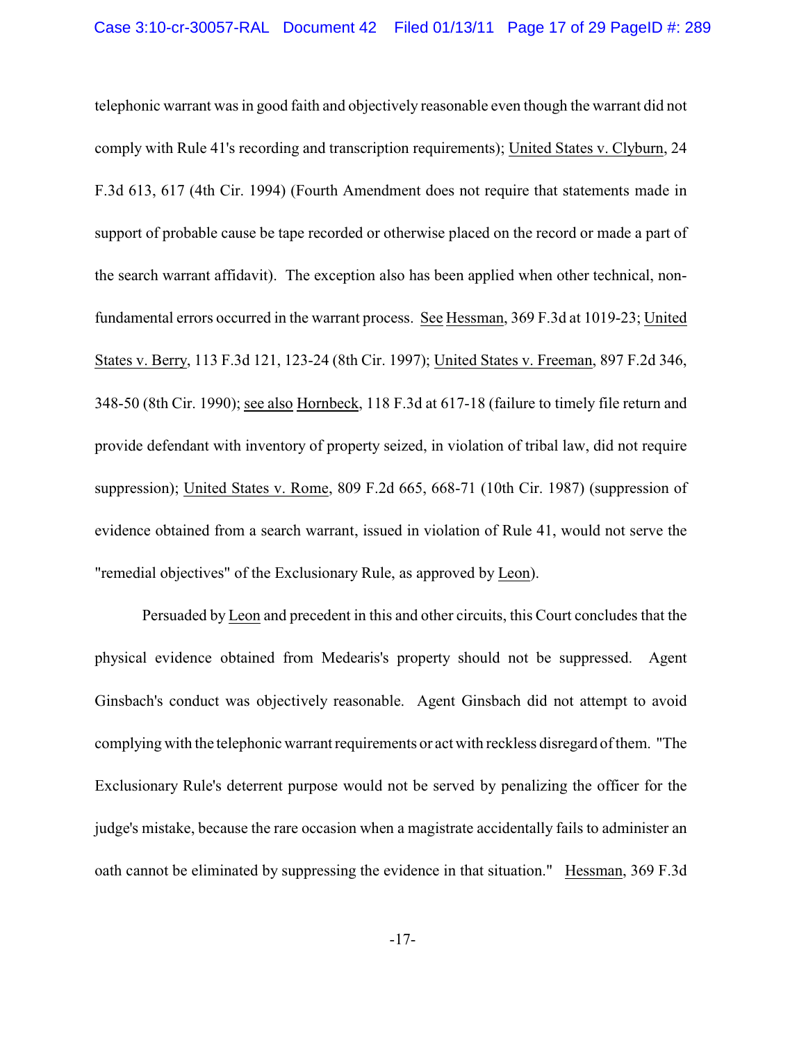telephonic warrant was in good faith and objectively reasonable even though the warrant did not comply with Rule 41's recording and transcription requirements); United States v. Clyburn, 24 F.3d 613, 617 (4th Cir. 1994) (Fourth Amendment does not require that statements made in support of probable cause be tape recorded or otherwise placed on the record or made a part of the search warrant affidavit). The exception also has been applied when other technical, nonfundamental errors occurred in the warrant process. See Hessman, 369 F.3d at 1019-23; United States v. Berry, 113 F.3d 121, 123-24 (8th Cir. 1997); United States v. Freeman, 897 F.2d 346, 348-50 (8th Cir. 1990); see also Hornbeck, 118 F.3d at 617-18 (failure to timely file return and provide defendant with inventory of property seized, in violation of tribal law, did not require suppression); United States v. Rome, 809 F.2d 665, 668-71 (10th Cir. 1987) (suppression of evidence obtained from a search warrant, issued in violation of Rule 41, would not serve the "remedial objectives" of the Exclusionary Rule, as approved by Leon).

Persuaded by Leon and precedent in this and other circuits, this Court concludes that the physical evidence obtained from Medearis's property should not be suppressed. Agent Ginsbach's conduct was objectively reasonable. Agent Ginsbach did not attempt to avoid complying with the telephonic warrant requirements or act with reckless disregard of them. "The Exclusionary Rule's deterrent purpose would not be served by penalizing the officer for the judge's mistake, because the rare occasion when a magistrate accidentally fails to administer an oath cannot be eliminated by suppressing the evidence in that situation." Hessman, 369 F.3d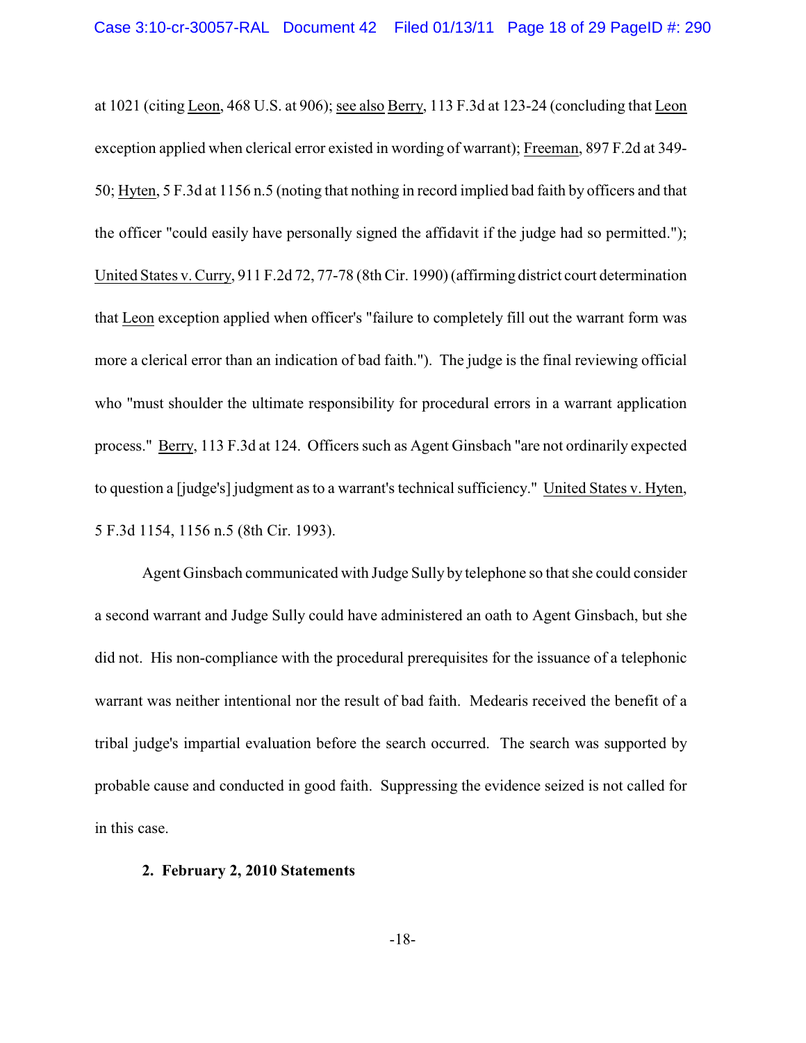at 1021 (citing Leon, 468 U.S. at 906); see also Berry, 113 F.3d at 123-24 (concluding that Leon exception applied when clerical error existed in wording of warrant); Freeman, 897 F.2d at 349- 50; Hyten, 5 F.3d at 1156 n.5 (noting that nothing in record implied bad faith by officers and that the officer "could easily have personally signed the affidavit if the judge had so permitted."); United States v. Curry, 911 F.2d 72, 77-78 (8th Cir. 1990) (affirming district court determination that Leon exception applied when officer's "failure to completely fill out the warrant form was more a clerical error than an indication of bad faith."). The judge is the final reviewing official who "must shoulder the ultimate responsibility for procedural errors in a warrant application process." Berry, 113 F.3d at 124. Officers such as Agent Ginsbach "are not ordinarily expected to question a [judge's] judgment as to a warrant's technical sufficiency." United States v. Hyten, 5 F.3d 1154, 1156 n.5 (8th Cir. 1993).

Agent Ginsbach communicated with Judge Sully by telephone so that she could consider a second warrant and Judge Sully could have administered an oath to Agent Ginsbach, but she did not. His non-compliance with the procedural prerequisites for the issuance of a telephonic warrant was neither intentional nor the result of bad faith. Medearis received the benefit of a tribal judge's impartial evaluation before the search occurred. The search was supported by probable cause and conducted in good faith. Suppressing the evidence seized is not called for in this case.

### **2. February 2, 2010 Statements**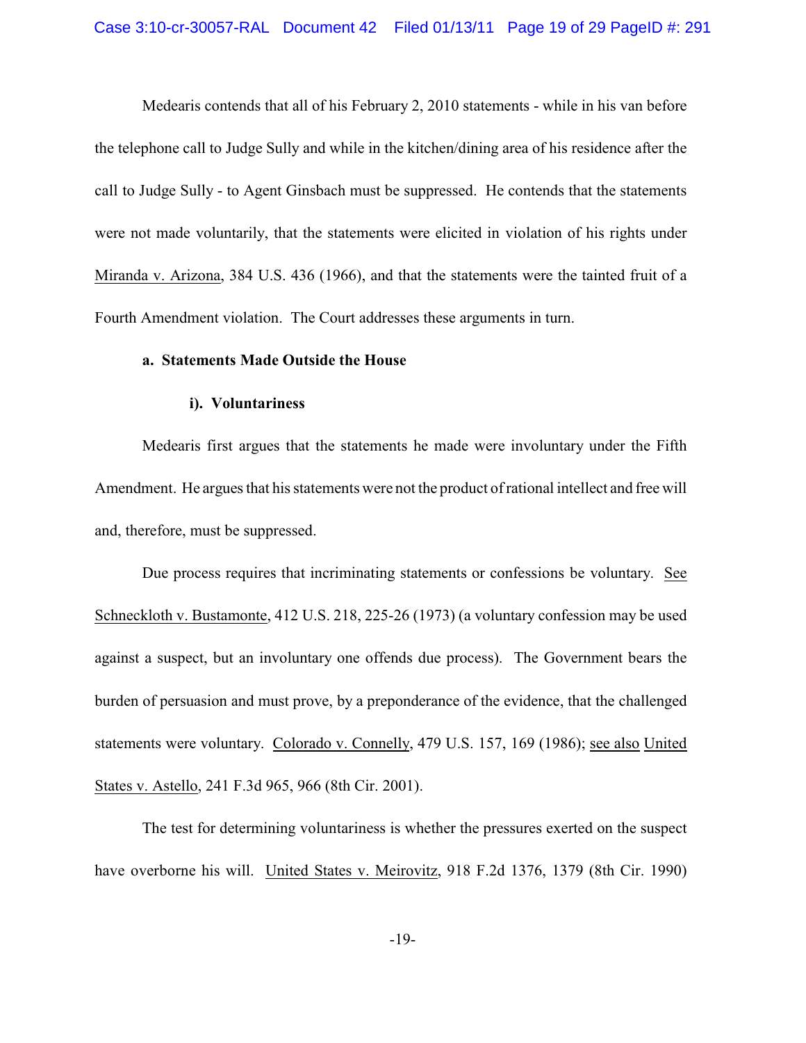Medearis contends that all of his February 2, 2010 statements - while in his van before the telephone call to Judge Sully and while in the kitchen/dining area of his residence after the call to Judge Sully - to Agent Ginsbach must be suppressed. He contends that the statements were not made voluntarily, that the statements were elicited in violation of his rights under Miranda v. Arizona, 384 U.S. 436 (1966), and that the statements were the tainted fruit of a Fourth Amendment violation. The Court addresses these arguments in turn.

#### **a. Statements Made Outside the House**

### **i). Voluntariness**

Medearis first argues that the statements he made were involuntary under the Fifth Amendment. He argues that his statements were not the product of rational intellect and free will and, therefore, must be suppressed.

Due process requires that incriminating statements or confessions be voluntary. See Schneckloth v. Bustamonte, 412 U.S. 218, 225-26 (1973) (a voluntary confession may be used against a suspect, but an involuntary one offends due process). The Government bears the burden of persuasion and must prove, by a preponderance of the evidence, that the challenged statements were voluntary. Colorado v. Connelly, 479 U.S. 157, 169 (1986); see also United States v. Astello, 241 F.3d 965, 966 (8th Cir. 2001).

The test for determining voluntariness is whether the pressures exerted on the suspect have overborne his will. United States v. Meirovitz, 918 F.2d 1376, 1379 (8th Cir. 1990)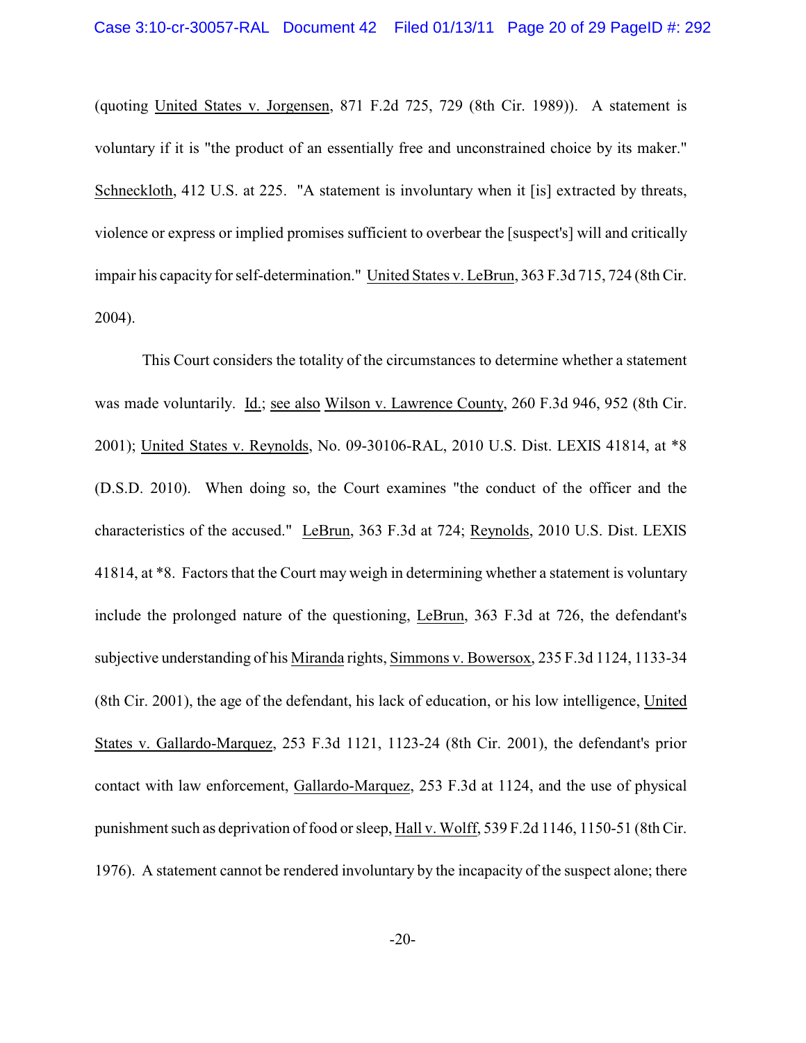(quoting United States v. Jorgensen, 871 F.2d 725, 729 (8th Cir. 1989)). A statement is voluntary if it is "the product of an essentially free and unconstrained choice by its maker." Schneckloth, 412 U.S. at 225. "A statement is involuntary when it [is] extracted by threats, violence or express or implied promises sufficient to overbear the [suspect's] will and critically impair his capacity for self-determination." United States v. LeBrun, 363 F.3d 715, 724 (8th Cir. 2004).

This Court considers the totality of the circumstances to determine whether a statement was made voluntarily. Id.; see also Wilson v. Lawrence County, 260 F.3d 946, 952 (8th Cir. 2001); United States v. Reynolds, No. 09-30106-RAL, 2010 U.S. Dist. LEXIS 41814, at \*8 (D.S.D. 2010). When doing so, the Court examines "the conduct of the officer and the characteristics of the accused." LeBrun, 363 F.3d at 724; Reynolds, 2010 U.S. Dist. LEXIS 41814, at \*8. Factors that the Court may weigh in determining whether a statement is voluntary include the prolonged nature of the questioning, LeBrun, 363 F.3d at 726, the defendant's subjective understanding of his Miranda rights, Simmons v. Bowersox, 235 F.3d 1124, 1133-34 (8th Cir. 2001), the age of the defendant, his lack of education, or his low intelligence, United States v. Gallardo-Marquez, 253 F.3d 1121, 1123-24 (8th Cir. 2001), the defendant's prior contact with law enforcement, Gallardo-Marquez, 253 F.3d at 1124, and the use of physical punishment such as deprivation of food or sleep, Hall v. Wolff, 539 F.2d 1146, 1150-51 (8th Cir. 1976). A statement cannot be rendered involuntary by the incapacity of the suspect alone; there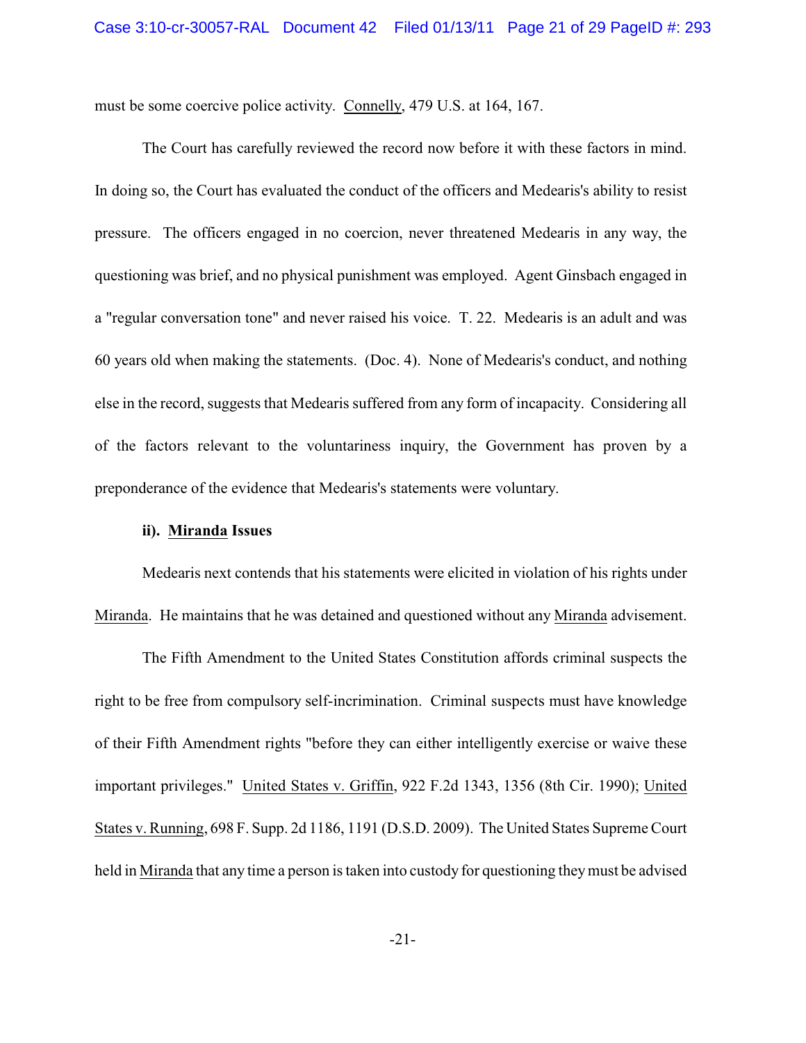must be some coercive police activity. Connelly, 479 U.S. at 164, 167.

The Court has carefully reviewed the record now before it with these factors in mind. In doing so, the Court has evaluated the conduct of the officers and Medearis's ability to resist pressure. The officers engaged in no coercion, never threatened Medearis in any way, the questioning was brief, and no physical punishment was employed. Agent Ginsbach engaged in a "regular conversation tone" and never raised his voice. T. 22. Medearis is an adult and was 60 years old when making the statements. (Doc. 4). None of Medearis's conduct, and nothing else in the record, suggests that Medearis suffered from any form of incapacity. Considering all of the factors relevant to the voluntariness inquiry, the Government has proven by a preponderance of the evidence that Medearis's statements were voluntary.

### **ii). Miranda Issues**

Medearis next contends that his statements were elicited in violation of his rights under Miranda.He maintains that he was detained and questioned without any Miranda advisement.

The Fifth Amendment to the United States Constitution affords criminal suspects the right to be free from compulsory self-incrimination. Criminal suspects must have knowledge of their Fifth Amendment rights "before they can either intelligently exercise or waive these important privileges." United States v. Griffin, 922 F.2d 1343, 1356 (8th Cir. 1990); United States v. Running, 698 F. Supp. 2d 1186, 1191 (D.S.D. 2009). The United States Supreme Court held in Miranda that any time a person is taken into custody for questioning they must be advised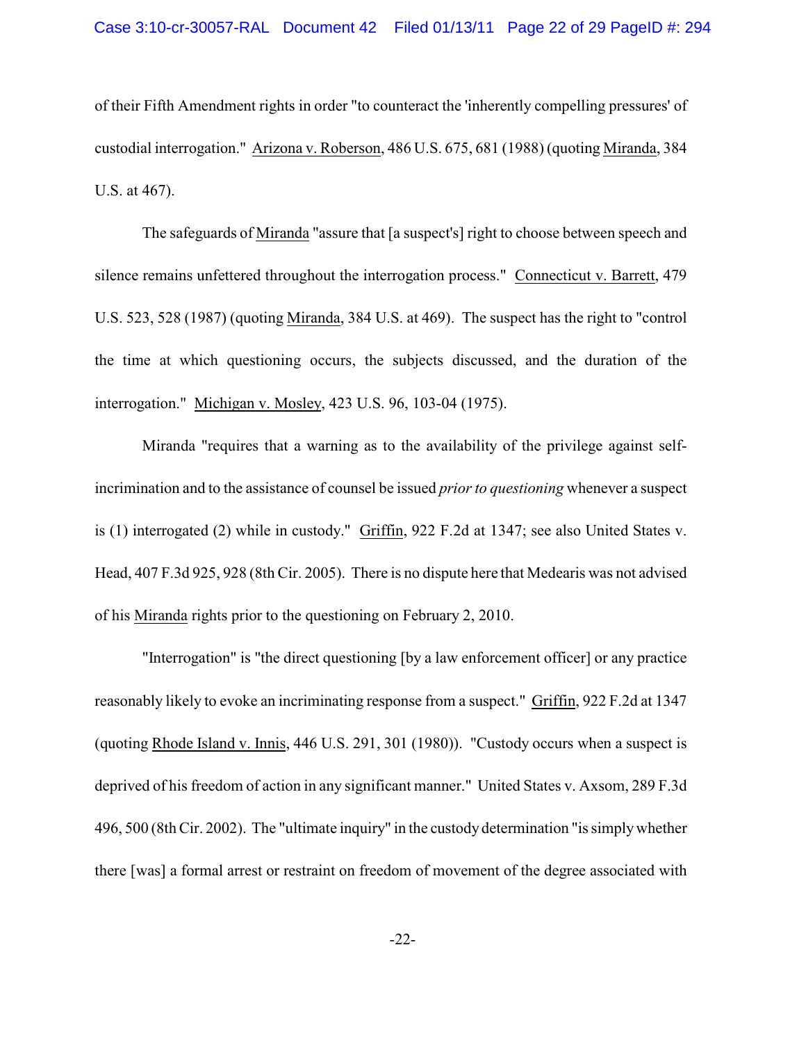of their Fifth Amendment rights in order "to counteract the 'inherently compelling pressures' of custodial interrogation." Arizona v. Roberson, 486 U.S. 675, 681 (1988) (quoting Miranda, 384 U.S. at 467).

The safeguards of Miranda "assure that [a suspect's] right to choose between speech and silence remains unfettered throughout the interrogation process." Connecticut v. Barrett, 479 U.S. 523, 528 (1987) (quoting Miranda, 384 U.S. at 469). The suspect has the right to "control the time at which questioning occurs, the subjects discussed, and the duration of the interrogation." Michigan v. Mosley, 423 U.S. 96, 103-04 (1975).

Miranda "requires that a warning as to the availability of the privilege against selfincrimination and to the assistance of counsel be issued *prior to questioning* whenever a suspect is (1) interrogated (2) while in custody." Griffin, 922 F.2d at 1347; see also United States v. Head, 407 F.3d 925, 928 (8th Cir. 2005). There is no dispute here that Medearis was not advised of his Miranda rights prior to the questioning on February 2, 2010.

"Interrogation" is "the direct questioning [by a law enforcement officer] or any practice reasonably likely to evoke an incriminating response from a suspect." Griffin, 922 F.2d at 1347 (quoting Rhode Island v. Innis, 446 U.S. 291, 301 (1980)). "Custody occurs when a suspect is deprived of his freedom of action in any significant manner." United States v. Axsom, 289 F.3d 496, 500 (8th Cir. 2002). The "ultimate inquiry" in the custody determination "is simply whether there [was] a formal arrest or restraint on freedom of movement of the degree associated with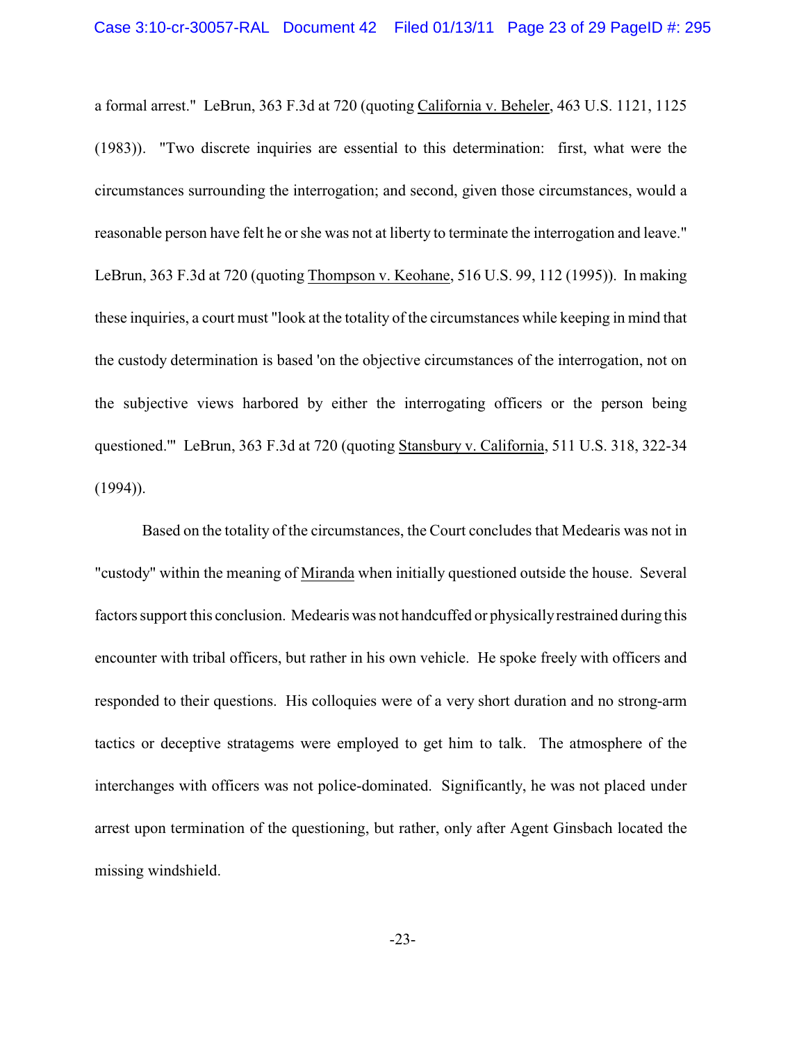a formal arrest." LeBrun, 363 F.3d at 720 (quoting California v. Beheler, 463 U.S. 1121, 1125 (1983)). "Two discrete inquiries are essential to this determination: first, what were the circumstances surrounding the interrogation; and second, given those circumstances, would a reasonable person have felt he or she was not at liberty to terminate the interrogation and leave." LeBrun, 363 F.3d at 720 (quoting Thompson v. Keohane, 516 U.S. 99, 112 (1995)). In making these inquiries, a court must "look at the totality of the circumstances while keeping in mind that the custody determination is based 'on the objective circumstances of the interrogation, not on the subjective views harbored by either the interrogating officers or the person being questioned.'" LeBrun, 363 F.3d at 720 (quoting Stansbury v. California, 511 U.S. 318, 322-34  $(1994)$ ).

Based on the totality of the circumstances, the Court concludes that Medearis was not in "custody" within the meaning of Miranda when initially questioned outside the house. Several factors support this conclusion. Medearis was not handcuffed or physically restrained during this encounter with tribal officers, but rather in his own vehicle. He spoke freely with officers and responded to their questions. His colloquies were of a very short duration and no strong-arm tactics or deceptive stratagems were employed to get him to talk. The atmosphere of the interchanges with officers was not police-dominated. Significantly, he was not placed under arrest upon termination of the questioning, but rather, only after Agent Ginsbach located the missing windshield.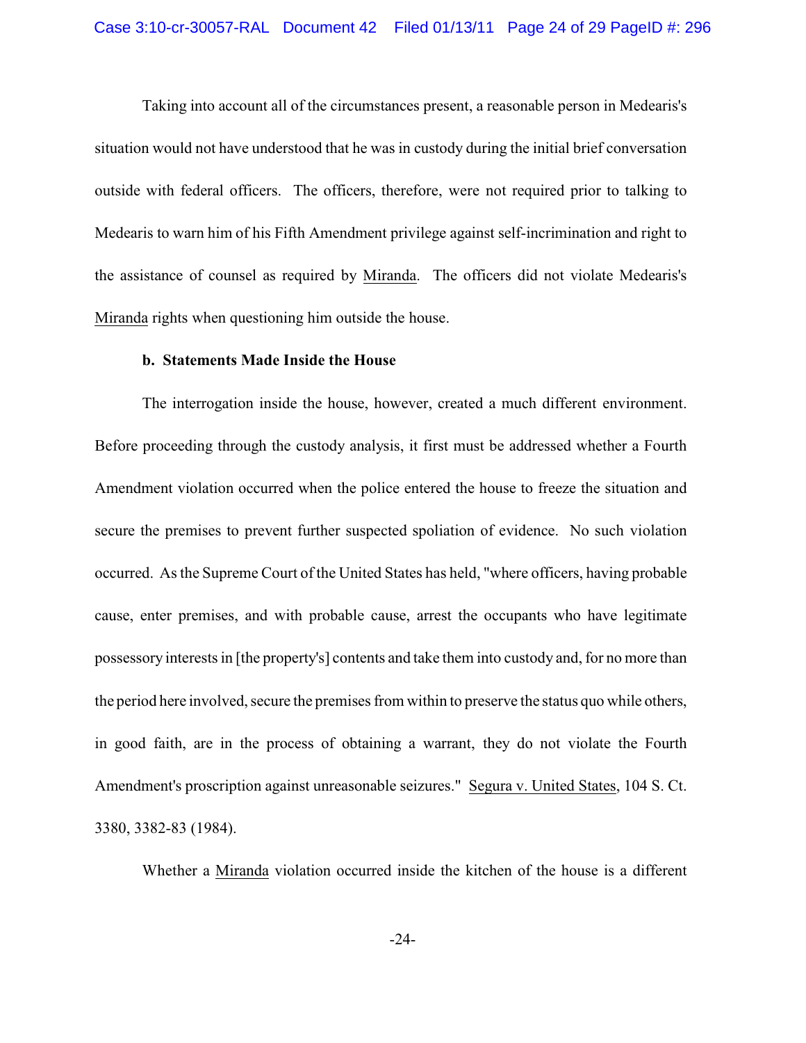Taking into account all of the circumstances present, a reasonable person in Medearis's situation would not have understood that he was in custody during the initial brief conversation outside with federal officers. The officers, therefore, were not required prior to talking to Medearis to warn him of his Fifth Amendment privilege against self-incrimination and right to the assistance of counsel as required by Miranda. The officers did not violate Medearis's Miranda rights when questioning him outside the house.

#### **b. Statements Made Inside the House**

The interrogation inside the house, however, created a much different environment. Before proceeding through the custody analysis, it first must be addressed whether a Fourth Amendment violation occurred when the police entered the house to freeze the situation and secure the premises to prevent further suspected spoliation of evidence. No such violation occurred. Asthe Supreme Court of the United States has held, "where officers, having probable cause, enter premises, and with probable cause, arrest the occupants who have legitimate possessory interests in [the property's] contents and take them into custody and, for no more than the period here involved, secure the premises from within to preserve the status quo while others, in good faith, are in the process of obtaining a warrant, they do not violate the Fourth Amendment's proscription against unreasonable seizures." Segura v. United States, 104 S. Ct. 3380, 3382-83 (1984).

Whether a Miranda violation occurred inside the kitchen of the house is a different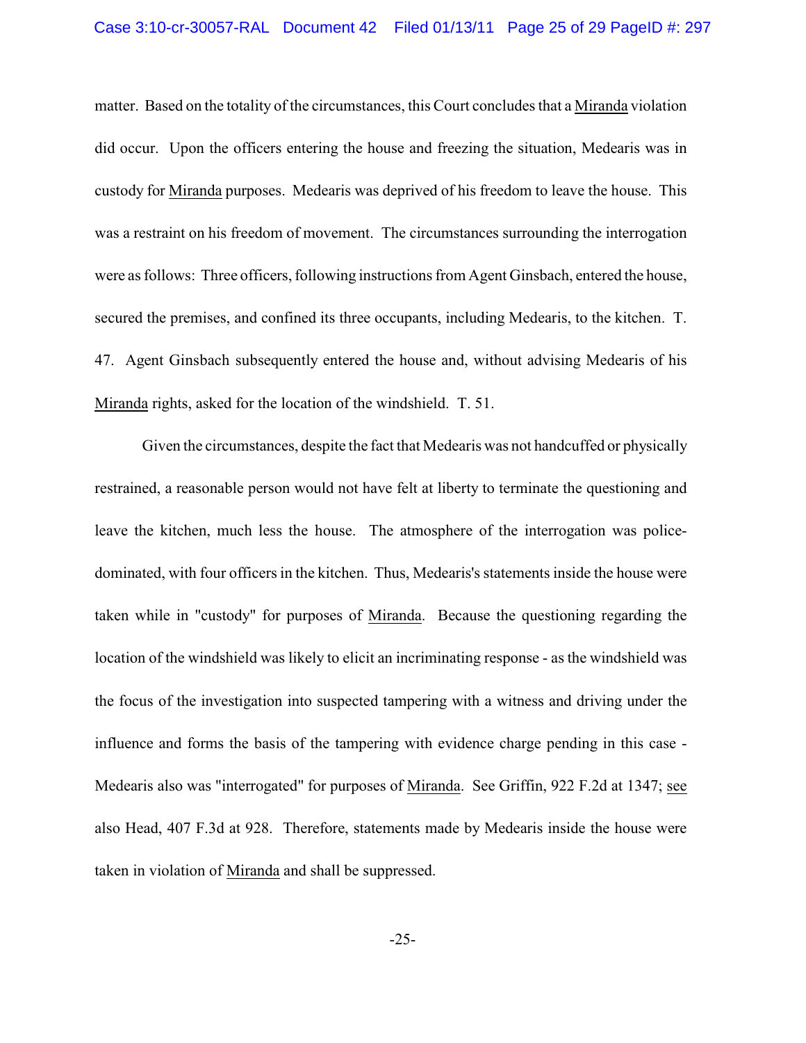### Case 3:10-cr-30057-RAL Document 42 Filed 01/13/11 Page 25 of 29 PageID #: 297

matter. Based on the totality of the circumstances, this Court concludes that a Miranda violation did occur. Upon the officers entering the house and freezing the situation, Medearis was in custody for Miranda purposes. Medearis was deprived of his freedom to leave the house. This was a restraint on his freedom of movement. The circumstances surrounding the interrogation were as follows: Three officers, following instructions from Agent Ginsbach, entered the house, secured the premises, and confined its three occupants, including Medearis, to the kitchen. T. 47. Agent Ginsbach subsequently entered the house and, without advising Medearis of his Miranda rights, asked for the location of the windshield. T. 51.

Given the circumstances, despite the fact that Medearis was not handcuffed or physically restrained, a reasonable person would not have felt at liberty to terminate the questioning and leave the kitchen, much less the house. The atmosphere of the interrogation was policedominated, with four officers in the kitchen. Thus, Medearis's statements inside the house were taken while in "custody" for purposes of Miranda. Because the questioning regarding the location of the windshield was likely to elicit an incriminating response - as the windshield was the focus of the investigation into suspected tampering with a witness and driving under the influence and forms the basis of the tampering with evidence charge pending in this case - Medearis also was "interrogated" for purposes of Miranda. See Griffin, 922 F.2d at 1347; see also Head, 407 F.3d at 928. Therefore, statements made by Medearis inside the house were taken in violation of Miranda and shall be suppressed.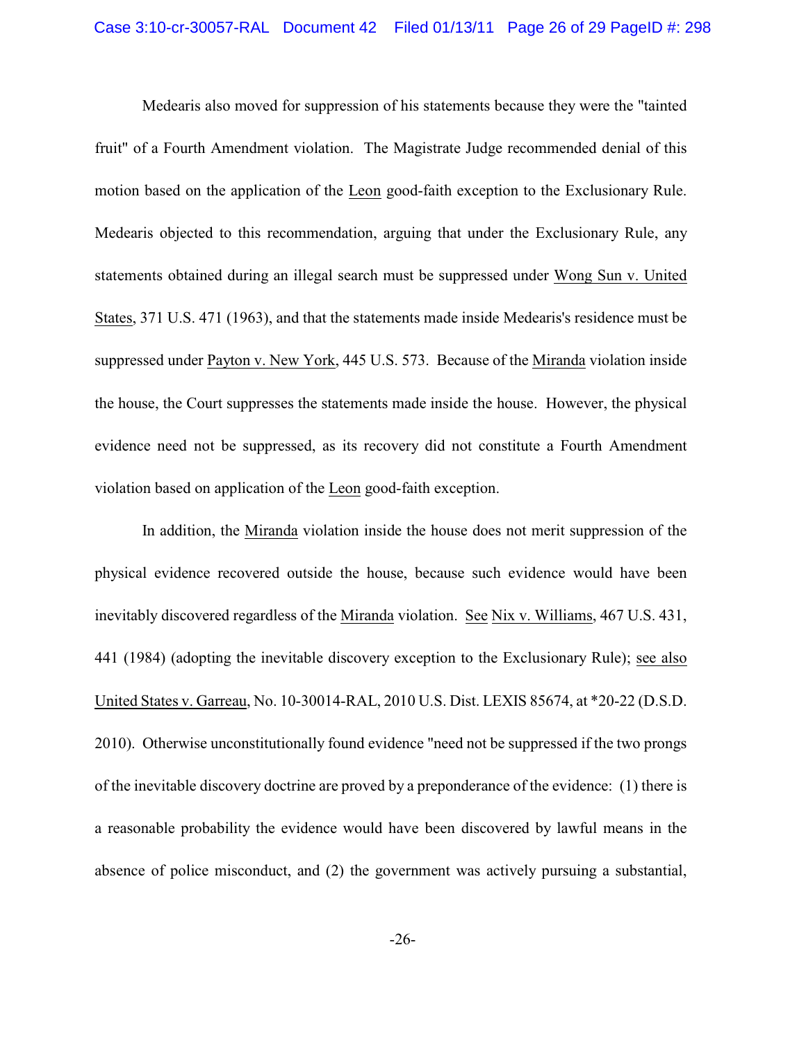Medearis also moved for suppression of his statements because they were the "tainted fruit" of a Fourth Amendment violation. The Magistrate Judge recommended denial of this motion based on the application of the Leon good-faith exception to the Exclusionary Rule. Medearis objected to this recommendation, arguing that under the Exclusionary Rule, any statements obtained during an illegal search must be suppressed under Wong Sun v. United States, 371 U.S. 471 (1963), and that the statements made inside Medearis's residence must be suppressed under Payton v. New York, 445 U.S. 573. Because of the Miranda violation inside the house, the Court suppresses the statements made inside the house. However, the physical evidence need not be suppressed, as its recovery did not constitute a Fourth Amendment violation based on application of the Leon good-faith exception.

In addition, the Miranda violation inside the house does not merit suppression of the physical evidence recovered outside the house, because such evidence would have been inevitably discovered regardless of the Miranda violation. See Nix v. Williams, 467 U.S. 431, 441 (1984) (adopting the inevitable discovery exception to the Exclusionary Rule); see also United States v. Garreau, No. 10-30014-RAL, 2010 U.S. Dist. LEXIS 85674, at \*20-22 (D.S.D. 2010). Otherwise unconstitutionally found evidence "need not be suppressed if the two prongs of the inevitable discovery doctrine are proved by a preponderance of the evidence: (1) there is a reasonable probability the evidence would have been discovered by lawful means in the absence of police misconduct, and (2) the government was actively pursuing a substantial,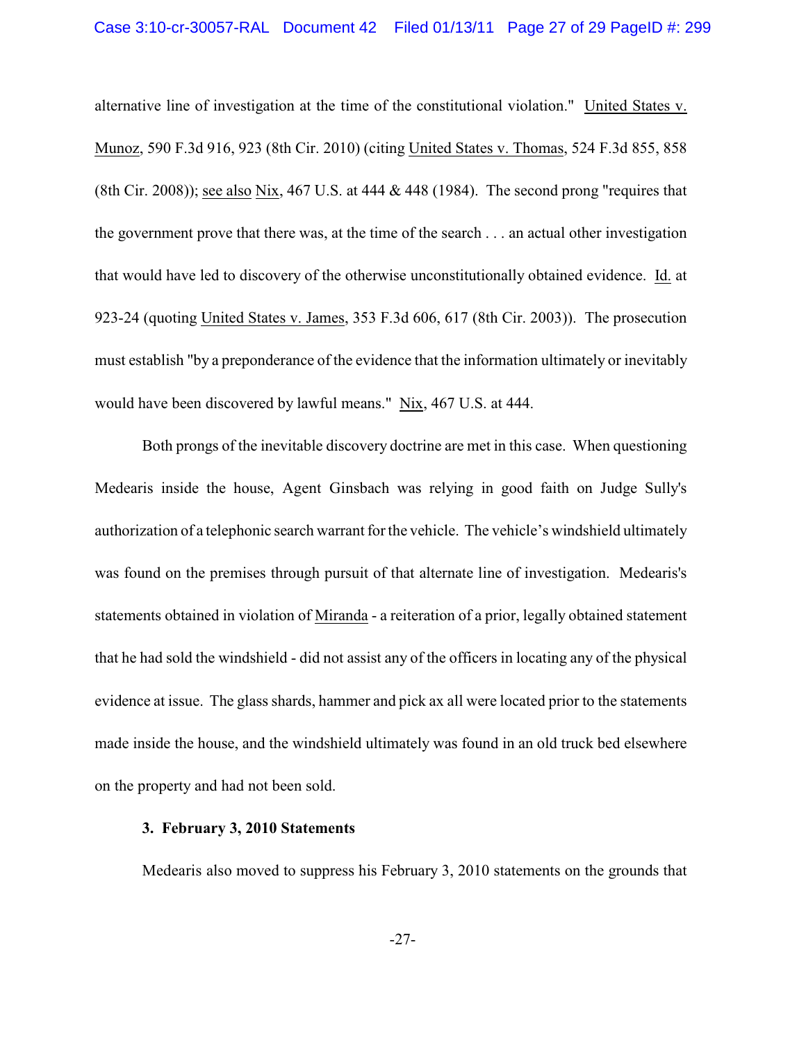### Case 3:10-cr-30057-RAL Document 42 Filed 01/13/11 Page 27 of 29 PageID #: 299

alternative line of investigation at the time of the constitutional violation." United States v. Munoz, 590 F.3d 916, 923 (8th Cir. 2010) (citing United States v. Thomas, 524 F.3d 855, 858 (8th Cir. 2008)); see also Nix, 467 U.S. at 444  $\&$  448 (1984). The second prong "requires that the government prove that there was, at the time of the search . . . an actual other investigation that would have led to discovery of the otherwise unconstitutionally obtained evidence. Id. at 923-24 (quoting United States v. James, 353 F.3d 606, 617 (8th Cir. 2003)). The prosecution must establish "by a preponderance of the evidence that the information ultimately or inevitably would have been discovered by lawful means." Nix, 467 U.S. at 444.

Both prongs of the inevitable discovery doctrine are met in this case. When questioning Medearis inside the house, Agent Ginsbach was relying in good faith on Judge Sully's authorization of a telephonic search warrant for the vehicle. The vehicle's windshield ultimately was found on the premises through pursuit of that alternate line of investigation. Medearis's statements obtained in violation of Miranda - a reiteration of a prior, legally obtained statement that he had sold the windshield - did not assist any of the officers in locating any of the physical evidence at issue. The glass shards, hammer and pick ax all were located prior to the statements made inside the house, and the windshield ultimately was found in an old truck bed elsewhere on the property and had not been sold.

### **3. February 3, 2010 Statements**

Medearis also moved to suppress his February 3, 2010 statements on the grounds that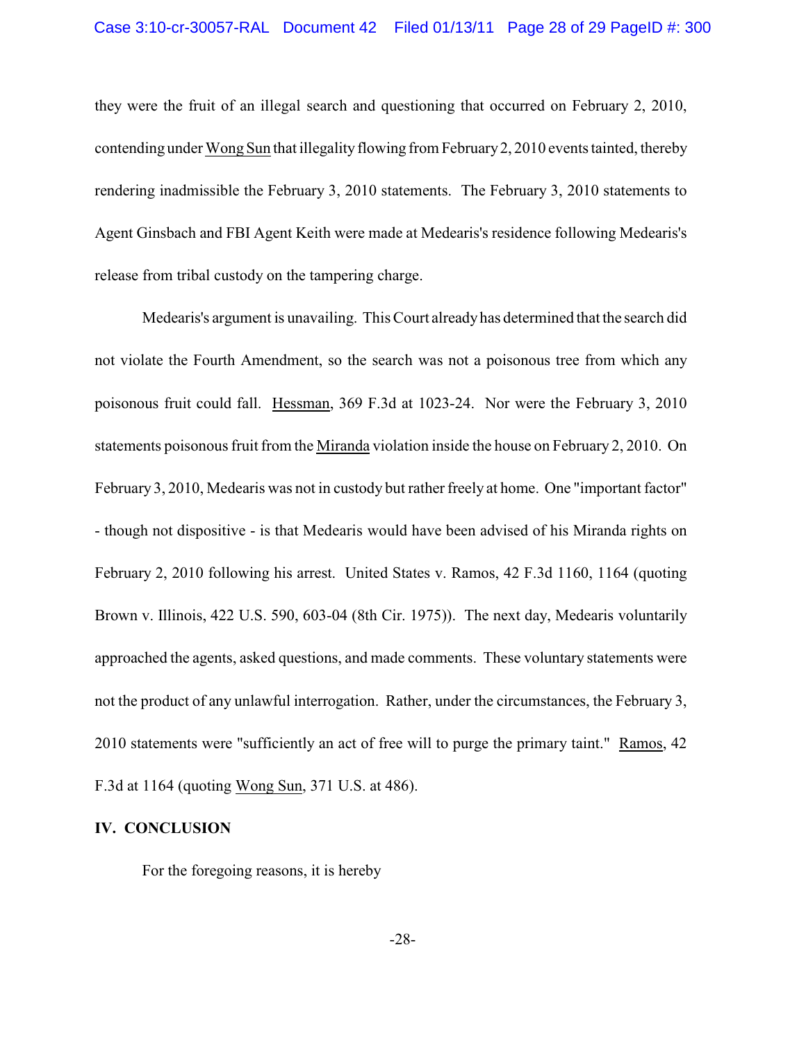they were the fruit of an illegal search and questioning that occurred on February 2, 2010, contending under Wong Sun that illegality flowing from February 2, 2010 events tainted, thereby rendering inadmissible the February 3, 2010 statements. The February 3, 2010 statements to Agent Ginsbach and FBI Agent Keith were made at Medearis's residence following Medearis's release from tribal custody on the tampering charge.

Medearis's argument is unavailing. This Court alreadyhas determined that the search did not violate the Fourth Amendment, so the search was not a poisonous tree from which any poisonous fruit could fall. Hessman, 369 F.3d at 1023-24. Nor were the February 3, 2010 statements poisonous fruit from the Miranda violation inside the house on February 2, 2010. On February 3, 2010, Medearis was not in custody but rather freely at home. One "important factor" - though not dispositive - is that Medearis would have been advised of his Miranda rights on February 2, 2010 following his arrest. United States v. Ramos, 42 F.3d 1160, 1164 (quoting Brown v. Illinois, 422 U.S. 590, 603-04 (8th Cir. 1975)). The next day, Medearis voluntarily approached the agents, asked questions, and made comments. These voluntary statements were not the product of any unlawful interrogation. Rather, under the circumstances, the February 3, 2010 statements were "sufficiently an act of free will to purge the primary taint." Ramos, 42 F.3d at 1164 (quoting Wong Sun, 371 U.S. at 486).

### **IV. CONCLUSION**

For the foregoing reasons, it is hereby